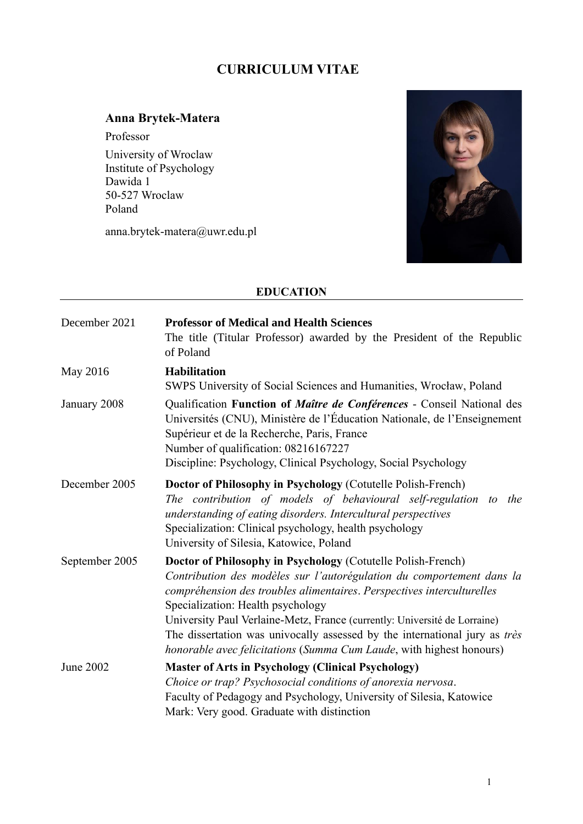# **CURRICULUM VITAE**

# **Anna Brytek-Matera**

Professor University of Wroclaw Institute of Psychology Dawida 1 50-527 Wroclaw Poland

anna.brytek-matera@uwr.edu.pl



## **EDUCATION**

| December 2021  | <b>Professor of Medical and Health Sciences</b><br>The title (Titular Professor) awarded by the President of the Republic<br>of Poland                                                                                                                                                                                                                                                                                                                                                  |
|----------------|-----------------------------------------------------------------------------------------------------------------------------------------------------------------------------------------------------------------------------------------------------------------------------------------------------------------------------------------------------------------------------------------------------------------------------------------------------------------------------------------|
| May 2016       | <b>Habilitation</b><br>SWPS University of Social Sciences and Humanities, Wrocław, Poland                                                                                                                                                                                                                                                                                                                                                                                               |
| January 2008   | Qualification Function of Maître de Conférences - Conseil National des<br>Universités (CNU), Ministère de l'Éducation Nationale, de l'Enseignement<br>Supérieur et de la Recherche, Paris, France<br>Number of qualification: 08216167227<br>Discipline: Psychology, Clinical Psychology, Social Psychology                                                                                                                                                                             |
| December 2005  | Doctor of Philosophy in Psychology (Cotutelle Polish-French)<br>The contribution of models of behavioural self-regulation to the<br>understanding of eating disorders. Intercultural perspectives<br>Specialization: Clinical psychology, health psychology<br>University of Silesia, Katowice, Poland                                                                                                                                                                                  |
| September 2005 | Doctor of Philosophy in Psychology (Cotutelle Polish-French)<br>Contribution des modèles sur l'autorégulation du comportement dans la<br>compréhension des troubles alimentaires. Perspectives interculturelles<br>Specialization: Health psychology<br>University Paul Verlaine-Metz, France (currently: Université de Lorraine)<br>The dissertation was univocally assessed by the international jury as très<br>honorable avec felicitations (Summa Cum Laude, with highest honours) |
| June 2002      | <b>Master of Arts in Psychology (Clinical Psychology)</b><br>Choice or trap? Psychosocial conditions of anorexia nervosa.<br>Faculty of Pedagogy and Psychology, University of Silesia, Katowice<br>Mark: Very good. Graduate with distinction                                                                                                                                                                                                                                          |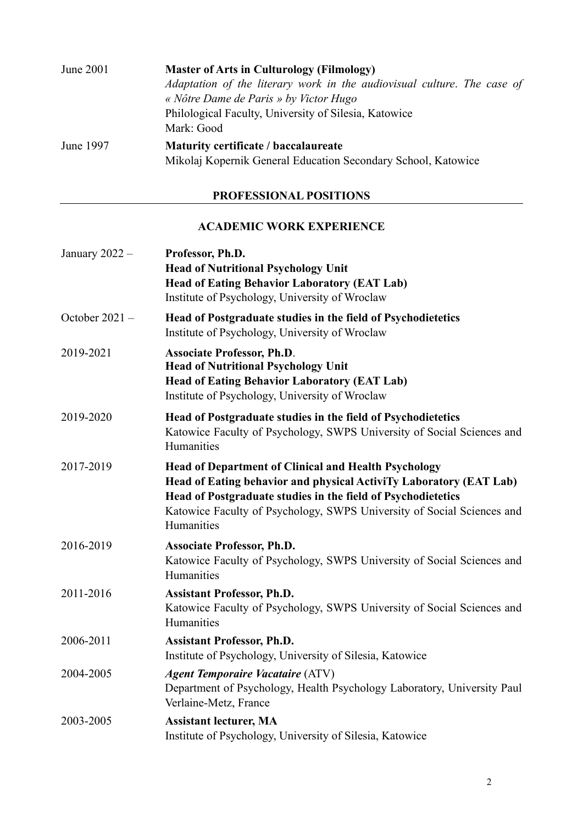| June 2001 | <b>Master of Arts in Culturology (Filmology)</b><br>Adaptation of the literary work in the audiovisual culture. The case of<br>« Nôtre Dame de Paris » by Victor Hugo<br>Philological Faculty, University of Silesia, Katowice |
|-----------|--------------------------------------------------------------------------------------------------------------------------------------------------------------------------------------------------------------------------------|
|           | Mark: Good                                                                                                                                                                                                                     |
| June 1997 | Maturity certificate / baccalaureate<br>Mikolaj Kopernik General Education Secondary School, Katowice                                                                                                                          |

# **PROFESSIONAL POSITIONS**

### **ACADEMIC WORK EXPERIENCE**

| January 2022 -   | Professor, Ph.D.<br><b>Head of Nutritional Psychology Unit</b><br><b>Head of Eating Behavior Laboratory (EAT Lab)</b><br>Institute of Psychology, University of Wroclaw                                                                                                                   |
|------------------|-------------------------------------------------------------------------------------------------------------------------------------------------------------------------------------------------------------------------------------------------------------------------------------------|
| October $2021 -$ | Head of Postgraduate studies in the field of Psychodietetics<br>Institute of Psychology, University of Wroclaw                                                                                                                                                                            |
| 2019-2021        | <b>Associate Professor, Ph.D.</b><br><b>Head of Nutritional Psychology Unit</b><br><b>Head of Eating Behavior Laboratory (EAT Lab)</b><br>Institute of Psychology, University of Wroclaw                                                                                                  |
| 2019-2020        | Head of Postgraduate studies in the field of Psychodietetics<br>Katowice Faculty of Psychology, SWPS University of Social Sciences and<br>Humanities                                                                                                                                      |
| 2017-2019        | <b>Head of Department of Clinical and Health Psychology</b><br>Head of Eating behavior and physical ActiviTy Laboratory (EAT Lab)<br>Head of Postgraduate studies in the field of Psychodietetics<br>Katowice Faculty of Psychology, SWPS University of Social Sciences and<br>Humanities |
| 2016-2019        | <b>Associate Professor, Ph.D.</b><br>Katowice Faculty of Psychology, SWPS University of Social Sciences and<br>Humanities                                                                                                                                                                 |
| 2011-2016        | <b>Assistant Professor, Ph.D.</b><br>Katowice Faculty of Psychology, SWPS University of Social Sciences and<br>Humanities                                                                                                                                                                 |
| 2006-2011        | <b>Assistant Professor, Ph.D.</b><br>Institute of Psychology, University of Silesia, Katowice                                                                                                                                                                                             |
| 2004-2005        | <b>Agent Temporaire Vacataire (ATV)</b><br>Department of Psychology, Health Psychology Laboratory, University Paul<br>Verlaine-Metz, France                                                                                                                                               |
| 2003-2005        | <b>Assistant lecturer, MA</b><br>Institute of Psychology, University of Silesia, Katowice                                                                                                                                                                                                 |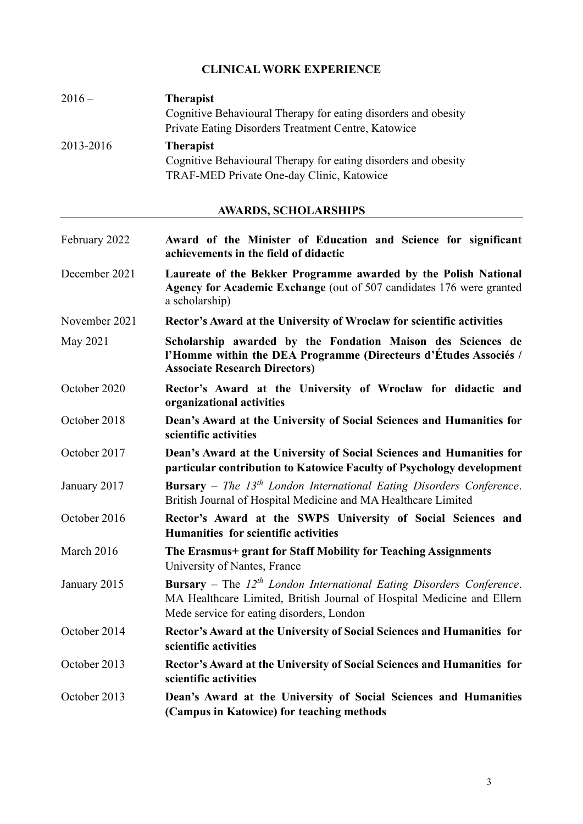## **CLINICAL WORK EXPERIENCE**

| $2016-$   | <b>Therapist</b>                                                                                            |
|-----------|-------------------------------------------------------------------------------------------------------------|
|           | Cognitive Behavioural Therapy for eating disorders and obesity                                              |
|           | Private Eating Disorders Treatment Centre, Katowice                                                         |
| 2013-2016 | <b>Therapist</b>                                                                                            |
|           | Cognitive Behavioural Therapy for eating disorders and obesity<br>TRAF-MED Private One-day Clinic, Katowice |

# **AWARDS, SCHOLARSHIPS**

| February 2022 | Award of the Minister of Education and Science for significant<br>achievements in the field of didactic                                                                                                 |
|---------------|---------------------------------------------------------------------------------------------------------------------------------------------------------------------------------------------------------|
| December 2021 | Laureate of the Bekker Programme awarded by the Polish National<br>Agency for Academic Exchange (out of 507 candidates 176 were granted<br>a scholarship)                                               |
| November 2021 | Rector's Award at the University of Wroclaw for scientific activities                                                                                                                                   |
| May 2021      | Scholarship awarded by the Fondation Maison des Sciences de<br>l'Homme within the DEA Programme (Directeurs d'Études Associés /<br><b>Associate Research Directors)</b>                                 |
| October 2020  | Rector's Award at the University of Wroclaw for didactic and<br>organizational activities                                                                                                               |
| October 2018  | Dean's Award at the University of Social Sciences and Humanities for<br>scientific activities                                                                                                           |
| October 2017  | Dean's Award at the University of Social Sciences and Humanities for<br>particular contribution to Katowice Faculty of Psychology development                                                           |
| January 2017  | <b>Bursary</b> – The 13 <sup>th</sup> London International Eating Disorders Conference.<br>British Journal of Hospital Medicine and MA Healthcare Limited                                               |
| October 2016  | Rector's Award at the SWPS University of Social Sciences and<br>Humanities for scientific activities                                                                                                    |
| March 2016    | The Erasmus+ grant for Staff Mobility for Teaching Assignments<br>University of Nantes, France                                                                                                          |
| January 2015  | <b>Bursary</b> – The $12^{th}$ London International Eating Disorders Conference.<br>MA Healthcare Limited, British Journal of Hospital Medicine and Ellern<br>Mede service for eating disorders, London |
| October 2014  | Rector's Award at the University of Social Sciences and Humanities for<br>scientific activities                                                                                                         |
| October 2013  | Rector's Award at the University of Social Sciences and Humanities for<br>scientific activities                                                                                                         |
| October 2013  | Dean's Award at the University of Social Sciences and Humanities<br>(Campus in Katowice) for teaching methods                                                                                           |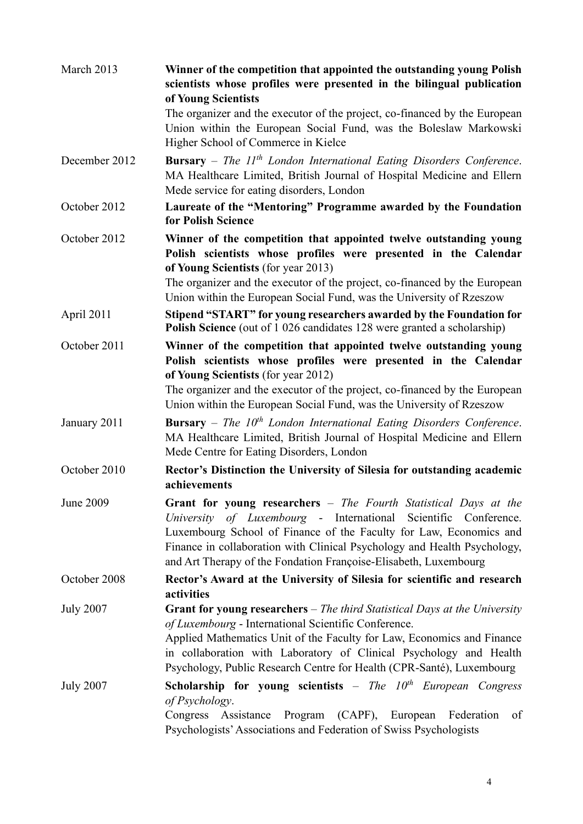| March 2013       | Winner of the competition that appointed the outstanding young Polish<br>scientists whose profiles were presented in the bilingual publication<br>of Young Scientists                                                                                                                                                                                                       |
|------------------|-----------------------------------------------------------------------------------------------------------------------------------------------------------------------------------------------------------------------------------------------------------------------------------------------------------------------------------------------------------------------------|
|                  | The organizer and the executor of the project, co-financed by the European<br>Union within the European Social Fund, was the Boleslaw Markowski<br>Higher School of Commerce in Kielce                                                                                                                                                                                      |
| December 2012    | <b>Bursary</b> – The $11th$ London International Eating Disorders Conference.<br>MA Healthcare Limited, British Journal of Hospital Medicine and Ellern<br>Mede service for eating disorders, London                                                                                                                                                                        |
| October 2012     | Laureate of the "Mentoring" Programme awarded by the Foundation<br>for Polish Science                                                                                                                                                                                                                                                                                       |
| October 2012     | Winner of the competition that appointed twelve outstanding young<br>Polish scientists whose profiles were presented in the Calendar<br>of Young Scientists (for year 2013)<br>The organizer and the executor of the project, co-financed by the European                                                                                                                   |
|                  | Union within the European Social Fund, was the University of Rzeszow                                                                                                                                                                                                                                                                                                        |
| April 2011       | Stipend "START" for young researchers awarded by the Foundation for<br><b>Polish Science</b> (out of 1 026 candidates 128 were granted a scholarship)                                                                                                                                                                                                                       |
| October 2011     | Winner of the competition that appointed twelve outstanding young<br>Polish scientists whose profiles were presented in the Calendar<br>of Young Scientists (for year 2012)<br>The organizer and the executor of the project, co-financed by the European                                                                                                                   |
| January 2011     | Union within the European Social Fund, was the University of Rzeszow<br><b>Bursary</b> – The $10^{th}$ London International Eating Disorders Conference.<br>MA Healthcare Limited, British Journal of Hospital Medicine and Ellern<br>Mede Centre for Eating Disorders, London                                                                                              |
| October 2010     | Rector's Distinction the University of Silesia for outstanding academic<br>achievements                                                                                                                                                                                                                                                                                     |
| June 2009        | Grant for young researchers - The Fourth Statistical Days at the<br>University of Luxembourg - International Scientific Conference.<br>Luxembourg School of Finance of the Faculty for Law, Economics and<br>Finance in collaboration with Clinical Psychology and Health Psychology,<br>and Art Therapy of the Fondation Françoise-Elisabeth, Luxembourg                   |
| October 2008     | Rector's Award at the University of Silesia for scientific and research<br>activities                                                                                                                                                                                                                                                                                       |
| <b>July 2007</b> | <b>Grant for young researchers</b> $-$ <i>The third Statistical Days at the University</i><br>of Luxembourg - International Scientific Conference.<br>Applied Mathematics Unit of the Faculty for Law, Economics and Finance<br>in collaboration with Laboratory of Clinical Psychology and Health<br>Psychology, Public Research Centre for Health (CPR-Santé), Luxembourg |
| <b>July 2007</b> | Scholarship for young scientists - The $10^{th}$ European Congress<br>of Psychology.<br>(CAPF), European<br>Program<br>Congress Assistance<br>Federation<br>of<br>Psychologists' Associations and Federation of Swiss Psychologists                                                                                                                                         |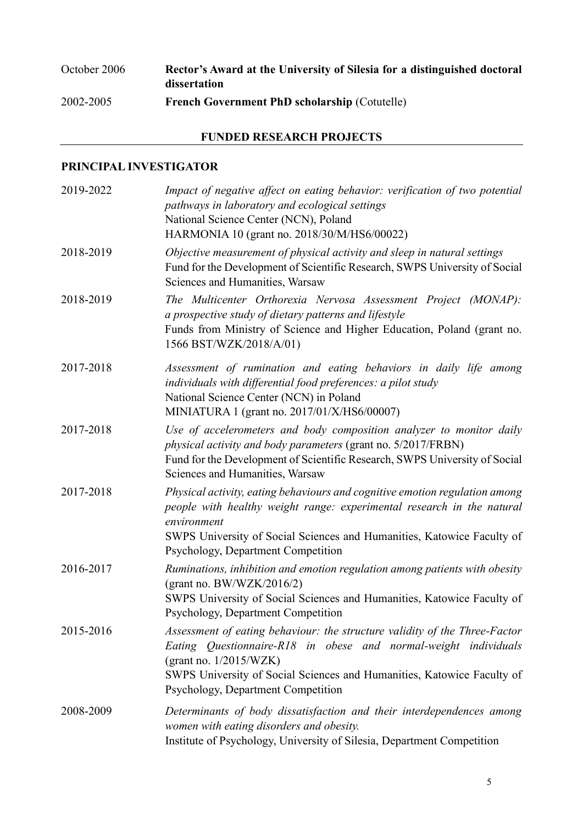# October 2006 **Rector's Award at the University of Silesia for a distinguished doctoral dissertation** 2002-2005 **French Government PhD scholarship** (Cotutelle)

## **FUNDED RESEARCH PROJECTS**

## **PRINCIPAL INVESTIGATOR**

| 2019-2022 | Impact of negative affect on eating behavior: verification of two potential<br>pathways in laboratory and ecological settings<br>National Science Center (NCN), Poland<br>HARMONIA 10 (grant no. 2018/30/M/HS6/00022)                                                                      |
|-----------|--------------------------------------------------------------------------------------------------------------------------------------------------------------------------------------------------------------------------------------------------------------------------------------------|
| 2018-2019 | Objective measurement of physical activity and sleep in natural settings<br>Fund for the Development of Scientific Research, SWPS University of Social<br>Sciences and Humanities, Warsaw                                                                                                  |
| 2018-2019 | The Multicenter Orthorexia Nervosa Assessment Project (MONAP):<br>a prospective study of dietary patterns and lifestyle<br>Funds from Ministry of Science and Higher Education, Poland (grant no.<br>1566 BST/WZK/2018/A/01)                                                               |
| 2017-2018 | Assessment of rumination and eating behaviors in daily life among<br>individuals with differential food preferences: a pilot study<br>National Science Center (NCN) in Poland<br>MINIATURA 1 (grant no. 2017/01/X/HS6/00007)                                                               |
| 2017-2018 | Use of accelerometers and body composition analyzer to monitor daily<br>physical activity and body parameters (grant no. 5/2017/FRBN)<br>Fund for the Development of Scientific Research, SWPS University of Social<br>Sciences and Humanities, Warsaw                                     |
| 2017-2018 | Physical activity, eating behaviours and cognitive emotion regulation among<br>people with healthy weight range: experimental research in the natural<br>environment<br>SWPS University of Social Sciences and Humanities, Katowice Faculty of<br>Psychology, Department Competition       |
| 2016-2017 | Ruminations, inhibition and emotion regulation among patients with obesity<br>(grant no. BW/WZK/2016/2)<br>SWPS University of Social Sciences and Humanities, Katowice Faculty of<br>Psychology, Department Competition                                                                    |
| 2015-2016 | Assessment of eating behaviour: the structure validity of the Three-Factor<br>Eating Questionnaire-R18 in obese and normal-weight individuals<br>(grant no. $1/2015/WZK$ )<br>SWPS University of Social Sciences and Humanities, Katowice Faculty of<br>Psychology, Department Competition |
| 2008-2009 | Determinants of body dissatisfaction and their interdependences among<br>women with eating disorders and obesity.<br>Institute of Psychology, University of Silesia, Department Competition                                                                                                |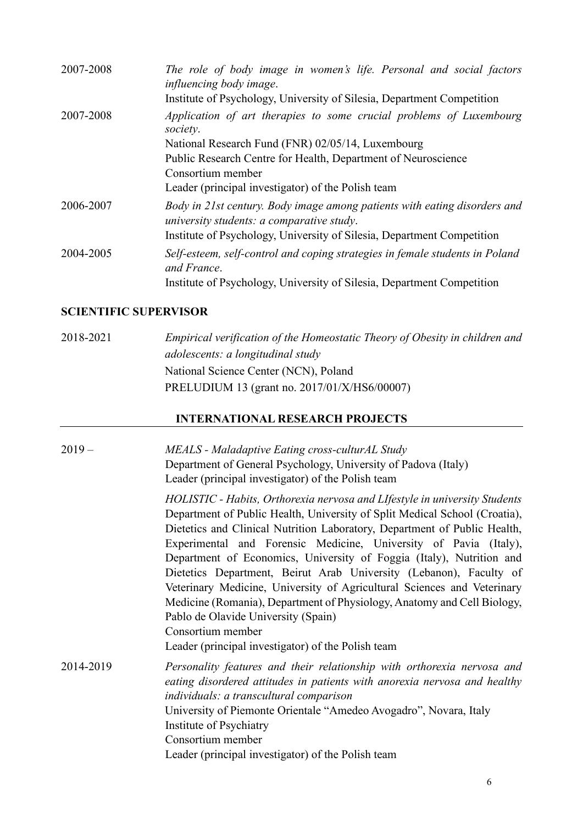| 2007-2008 | The role of body image in women's life. Personal and social factors<br>influencing body image.<br>Institute of Psychology, University of Silesia, Department Competition                                                                                                         |
|-----------|----------------------------------------------------------------------------------------------------------------------------------------------------------------------------------------------------------------------------------------------------------------------------------|
| 2007-2008 | Application of art therapies to some crucial problems of Luxembourg<br>society.<br>National Research Fund (FNR) 02/05/14, Luxembourg<br>Public Research Centre for Health, Department of Neuroscience<br>Consortium member<br>Leader (principal investigator) of the Polish team |
| 2006-2007 | Body in 21st century. Body image among patients with eating disorders and<br>university students: a comparative study.<br>Institute of Psychology, University of Silesia, Department Competition                                                                                 |
| 2004-2005 | Self-esteem, self-control and coping strategies in female students in Poland<br>and France.<br>Institute of Psychology, University of Silesia, Department Competition                                                                                                            |

### **SCIENTIFIC SUPERVISOR**

2018-2021 *Empirical verification of the Homeostatic Theory of Obesity in children and adolescents: a longitudinal study* National Science Center (NCN), Poland PRELUDIUM 13 (grant no. 2017/01/X/HS6/00007)

## **INTERNATIONAL RESEARCH PROJECTS**

| $2019-$   | MEALS - Maladaptive Eating cross-culturAL Study<br>Department of General Psychology, University of Padova (Italy)<br>Leader (principal investigator) of the Polish team                                                                                                                                                                                                                                                                                                                                                                                                                                                                                                                                                         |
|-----------|---------------------------------------------------------------------------------------------------------------------------------------------------------------------------------------------------------------------------------------------------------------------------------------------------------------------------------------------------------------------------------------------------------------------------------------------------------------------------------------------------------------------------------------------------------------------------------------------------------------------------------------------------------------------------------------------------------------------------------|
|           | HOLISTIC - Habits, Orthorexia nervosa and LIfestyle in university Students<br>Department of Public Health, University of Split Medical School (Croatia),<br>Dietetics and Clinical Nutrition Laboratory, Department of Public Health,<br>Experimental and Forensic Medicine, University of Pavia (Italy),<br>Department of Economics, University of Foggia (Italy), Nutrition and<br>Dietetics Department, Beirut Arab University (Lebanon), Faculty of<br>Veterinary Medicine, University of Agricultural Sciences and Veterinary<br>Medicine (Romania), Department of Physiology, Anatomy and Cell Biology,<br>Pablo de Olavide University (Spain)<br>Consortium member<br>Leader (principal investigator) of the Polish team |
| 2014-2019 | Personality features and their relationship with orthorexia nervosa and<br>eating disordered attitudes in patients with anorexia nervosa and healthy<br>individuals: a transcultural comparison<br>University of Piemonte Orientale "Amedeo Avogadro", Novara, Italy<br>Institute of Psychiatry<br>Consortium member<br>Leader (principal investigator) of the Polish team                                                                                                                                                                                                                                                                                                                                                      |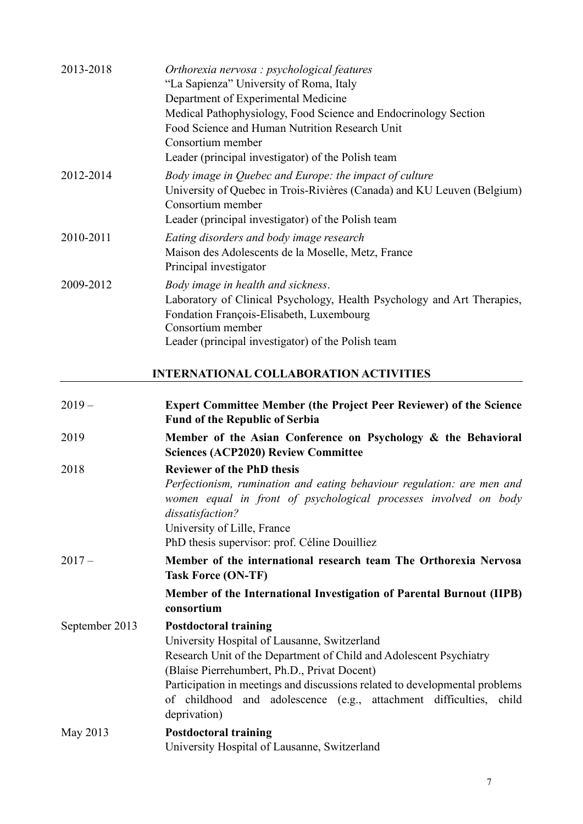| 2013-2018 | Orthorexia nervosa : psychological features<br>"La Sapienza" University of Roma, Italy<br>Department of Experimental Medicine<br>Medical Pathophysiology, Food Science and Endocrinology Section<br>Food Science and Human Nutrition Research Unit<br>Consortium member |
|-----------|-------------------------------------------------------------------------------------------------------------------------------------------------------------------------------------------------------------------------------------------------------------------------|
| 2012-2014 | Leader (principal investigator) of the Polish team<br>Body image in Quebec and Europe: the impact of culture<br>University of Quebec in Trois-Rivières (Canada) and KU Leuven (Belgium)<br>Consortium member<br>Leader (principal investigator) of the Polish team      |
| 2010-2011 | Eating disorders and body image research<br>Maison des Adolescents de la Moselle, Metz, France<br>Principal investigator                                                                                                                                                |
| 2009-2012 | Body image in health and sickness.<br>Laboratory of Clinical Psychology, Health Psychology and Art Therapies,<br>Fondation François-Elisabeth, Luxembourg<br>Consortium member<br>Leader (principal investigator) of the Polish team                                    |

# **INTERNATIONAL COLLABORATION ACTIVITIES**

| $2019-$        | <b>Expert Committee Member (the Project Peer Reviewer) of the Science</b><br><b>Fund of the Republic of Serbia</b>                                                                                                                                                                                                                                                      |
|----------------|-------------------------------------------------------------------------------------------------------------------------------------------------------------------------------------------------------------------------------------------------------------------------------------------------------------------------------------------------------------------------|
| 2019           | Member of the Asian Conference on Psychology & the Behavioral<br><b>Sciences (ACP2020) Review Committee</b>                                                                                                                                                                                                                                                             |
| 2018           | <b>Reviewer of the PhD thesis</b><br>Perfectionism, rumination and eating behaviour regulation: are men and<br>women equal in front of psychological processes involved on body<br>dissatisfaction?<br>University of Lille, France<br>PhD thesis supervisor: prof. Céline Douilliez                                                                                     |
| $2017-$        | Member of the international research team The Orthorexia Nervosa<br><b>Task Force (ON-TF)</b>                                                                                                                                                                                                                                                                           |
|                | Member of the International Investigation of Parental Burnout (IIPB)<br>consortium                                                                                                                                                                                                                                                                                      |
| September 2013 | <b>Postdoctoral training</b><br>University Hospital of Lausanne, Switzerland<br>Research Unit of the Department of Child and Adolescent Psychiatry<br>(Blaise Pierrehumbert, Ph.D., Privat Docent)<br>Participation in meetings and discussions related to developmental problems<br>of childhood and adolescence (e.g., attachment difficulties, child<br>deprivation) |
| May 2013       | <b>Postdoctoral training</b><br>University Hospital of Lausanne, Switzerland                                                                                                                                                                                                                                                                                            |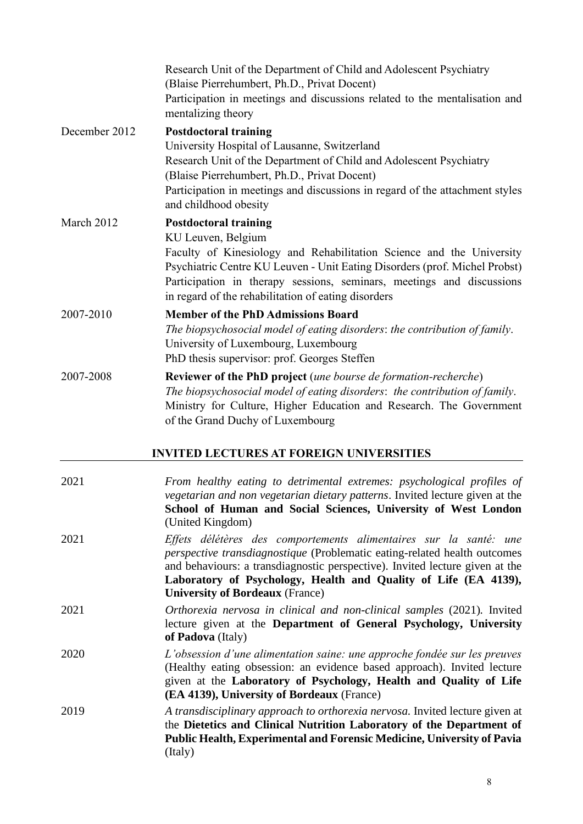|               | Research Unit of the Department of Child and Adolescent Psychiatry<br>(Blaise Pierrehumbert, Ph.D., Privat Docent)<br>Participation in meetings and discussions related to the mentalisation and<br>mentalizing theory                                                                                                                   |
|---------------|------------------------------------------------------------------------------------------------------------------------------------------------------------------------------------------------------------------------------------------------------------------------------------------------------------------------------------------|
| December 2012 | <b>Postdoctoral training</b><br>University Hospital of Lausanne, Switzerland<br>Research Unit of the Department of Child and Adolescent Psychiatry<br>(Blaise Pierrehumbert, Ph.D., Privat Docent)<br>Participation in meetings and discussions in regard of the attachment styles<br>and childhood obesity                              |
| March 2012    | <b>Postdoctoral training</b><br>KU Leuven, Belgium<br>Faculty of Kinesiology and Rehabilitation Science and the University<br>Psychiatric Centre KU Leuven - Unit Eating Disorders (prof. Michel Probst)<br>Participation in therapy sessions, seminars, meetings and discussions<br>in regard of the rehabilitation of eating disorders |
| 2007-2010     | <b>Member of the PhD Admissions Board</b><br>The biopsychosocial model of eating disorders: the contribution of family.<br>University of Luxembourg, Luxembourg<br>PhD thesis supervisor: prof. Georges Steffen                                                                                                                          |
| 2007-2008     | <b>Reviewer of the PhD project</b> (une bourse de formation-recherche)<br>The biopsychosocial model of eating disorders: the contribution of family.<br>Ministry for Culture, Higher Education and Research. The Government<br>of the Grand Duchy of Luxembourg                                                                          |

## **INVITED LECTURES AT FOREIGN UNIVERSITIES**

| 2021 | From healthy eating to detrimental extremes: psychological profiles of<br>vegetarian and non vegetarian dietary patterns. Invited lecture given at the<br>School of Human and Social Sciences, University of West London<br>(United Kingdom)                                                                                                |
|------|---------------------------------------------------------------------------------------------------------------------------------------------------------------------------------------------------------------------------------------------------------------------------------------------------------------------------------------------|
| 2021 | Effets délétères des comportements alimentaires sur la santé: une<br>perspective transdiagnostique (Problematic eating-related health outcomes<br>and behaviours: a transdiagnostic perspective). Invited lecture given at the<br>Laboratory of Psychology, Health and Quality of Life (EA 4139),<br><b>University of Bordeaux (France)</b> |
| 2021 | Orthorexia nervosa in clinical and non-clinical samples (2021). Invited<br>lecture given at the Department of General Psychology, University<br>of Padova (Italy)                                                                                                                                                                           |
| 2020 | L'obsession d'une alimentation saine: une approche fondée sur les preuves<br>(Healthy eating obsession: an evidence based approach). Invited lecture<br>given at the Laboratory of Psychology, Health and Quality of Life<br>(EA 4139), University of Bordeaux (France)                                                                     |
| 2019 | A transdisciplinary approach to orthorexia nervosa. Invited lecture given at<br>the Dietetics and Clinical Nutrition Laboratory of the Department of<br>Public Health, Experimental and Forensic Medicine, University of Pavia<br>(Italy)                                                                                                   |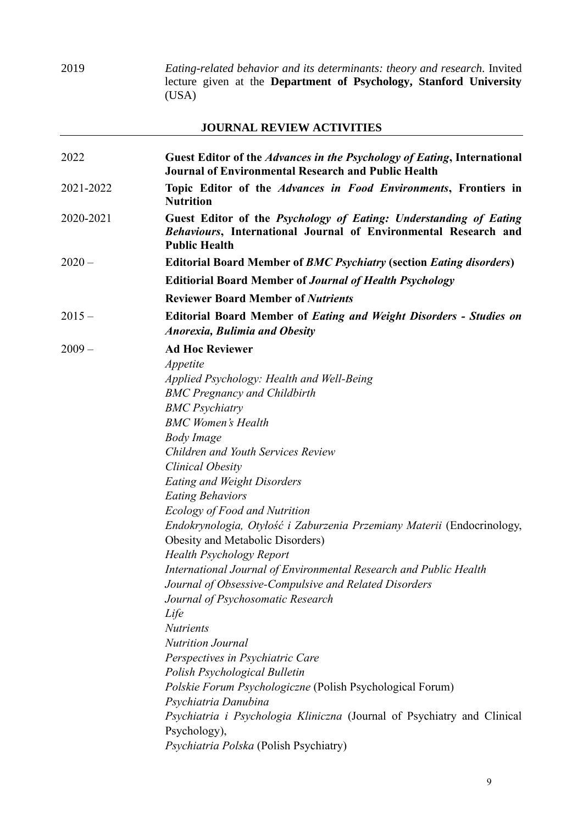2019 *Eating-related behavior and its determinants: theory and research.* Invited lecture given at the **Department of Psychology, Stanford University**  (USA)

## **JOURNAL REVIEW ACTIVITIES**

| 2022      | Guest Editor of the Advances in the Psychology of Eating, International<br><b>Journal of Environmental Research and Public Health</b>                        |
|-----------|--------------------------------------------------------------------------------------------------------------------------------------------------------------|
| 2021-2022 | Topic Editor of the Advances in Food Environments, Frontiers in<br><b>Nutrition</b>                                                                          |
| 2020-2021 | Guest Editor of the Psychology of Eating: Understanding of Eating<br>Behaviours, International Journal of Environmental Research and<br><b>Public Health</b> |
| $2020 -$  | <b>Editorial Board Member of BMC Psychiatry (section Eating disorders)</b>                                                                                   |
|           | <b>Editiorial Board Member of Journal of Health Psychology</b>                                                                                               |
|           | <b>Reviewer Board Member of Nutrients</b>                                                                                                                    |
| $2015 -$  | <b>Editorial Board Member of Eating and Weight Disorders - Studies on</b><br><b>Anorexia, Bulimia and Obesity</b>                                            |
| $2009 -$  | <b>Ad Hoc Reviewer</b>                                                                                                                                       |
|           | Appetite                                                                                                                                                     |
|           | Applied Psychology: Health and Well-Being                                                                                                                    |
|           | <b>BMC Pregnancy and Childbirth</b>                                                                                                                          |
|           | <b>BMC</b> Psychiatry                                                                                                                                        |
|           | <b>BMC Women's Health</b>                                                                                                                                    |
|           | <b>Body Image</b>                                                                                                                                            |
|           | <b>Children and Youth Services Review</b>                                                                                                                    |
|           | Clinical Obesity                                                                                                                                             |
|           | <b>Eating and Weight Disorders</b>                                                                                                                           |
|           | <b>Eating Behaviors</b>                                                                                                                                      |
|           | Ecology of Food and Nutrition                                                                                                                                |
|           | Endokrynologia, Otyłość i Zaburzenia Przemiany Materii (Endocrinology,<br>Obesity and Metabolic Disorders)                                                   |
|           | <b>Health Psychology Report</b>                                                                                                                              |
|           | International Journal of Environmental Research and Public Health                                                                                            |
|           | Journal of Obsessive-Compulsive and Related Disorders                                                                                                        |
|           | Journal of Psychosomatic Research                                                                                                                            |
|           | Life                                                                                                                                                         |
|           | <b>Nutrients</b>                                                                                                                                             |
|           | <b>Nutrition Journal</b>                                                                                                                                     |
|           | Perspectives in Psychiatric Care                                                                                                                             |
|           | Polish Psychological Bulletin                                                                                                                                |
|           | Polskie Forum Psychologiczne (Polish Psychological Forum)                                                                                                    |
|           | Psychiatria Danubina                                                                                                                                         |
|           | Psychiatria i Psychologia Kliniczna (Journal of Psychiatry and Clinical                                                                                      |
|           | Psychology),                                                                                                                                                 |
|           | Psychiatria Polska (Polish Psychiatry)                                                                                                                       |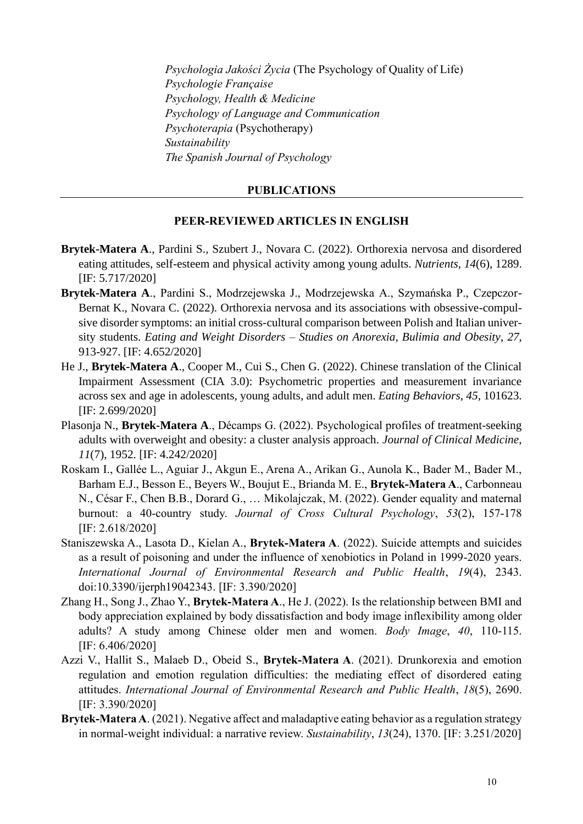*Psychologia Jakości Życia* (The Psychology of Quality of Life) *Psychologie Française Psychology, Health & Medicine Psychology of Language and Communication Psychoterapia* (Psychotherapy) *Sustainability The Spanish Journal of Psychology*

#### **PUBLICATIONS**

#### **PEER-REVIEWED ARTICLES IN ENGLISH**

- **Brytek-Matera A**., Pardini S., Szubert J., Novara C. (2022). Orthorexia nervosa and disordered eating attitudes, self-esteem and physical activity among young adults. *Nutrients*, *14*(6), 1289. [IF: 5.717/2020]
- **Brytek-Matera A**., Pardini S., Modrzejewska J., Modrzejewska A., Szymańska P., Czepczor-Bernat K., Novara C. (2022). Orthorexia nervosa and its associations with obsessive-compulsive disorder symptoms: an initial cross-cultural comparison between Polish and Italian university students. *Eating and Weight Disorders – Studies on Anorexia, Bulimia and Obesity*, *27*, 913-927. [IF: 4.652/2020]
- He J., **Brytek-Matera A**., Cooper M., Cui S., Chen G. (2022). Chinese translation of the Clinical Impairment Assessment (CIA 3.0): Psychometric properties and measurement invariance across sex and age in adolescents, young adults, and adult men. *Eating Behaviors*, *45*, 101623. [IF: 2.699/2020]
- Plasonja N., **Brytek-Matera A**., Décamps G. (2022). Psychological profiles of treatment-seeking adults with overweight and obesity: a cluster analysis approach. *Journal of Clinical Medicine*, *11*(7), 1952. [IF: 4.242/2020]
- Roskam I., Gallée L., Aguiar J., Akgun E., Arena A., Arikan G., Aunola K., Bader M., Bader M., Barham E.J., Besson E., Beyers W., Boujut E., Brianda M. E., **Brytek-Matera A**., Carbonneau N., César F., Chen B.B., Dorard G., … Mikolajczak, M. (2022). Gender equality and maternal burnout: a 40-country study. *Journal of Cross Cultural Psychology*, *53*(2), 157-178 [IF: 2.618/2020]
- Staniszewska A., Lasota D., Kielan A., **Brytek-Matera A**. (2022). Suicide attempts and suicides as a result of poisoning and under the influence of xenobiotics in Poland in 1999-2020 years. *International Journal of Environmental Research and Public Health*, *19*(4), 2343. doi:10.3390/ijerph19042343. [IF: 3.390/2020]
- Zhang H., Song J., Zhao Y., **Brytek-Matera A**., He J. (2022). Is the relationship between BMI and body appreciation explained by body dissatisfaction and body image inflexibility among older adults? A study among Chinese older men and women. *Body Image*, *40*, 110-115. [IF: 6.406/2020]
- Azzi V., Hallit S., Malaeb D., Obeid S., **Brytek-Matera A**. (2021). Drunkorexia and emotion regulation and emotion regulation difficulties: the mediating effect of disordered eating attitudes. *International Journal of Environmental Research and Public Health*, *18*(5), 2690. [IF: 3.390/2020]
- **Brytek-Matera A**. (2021). Negative affect and maladaptive eating behavior as a regulation strategy in normal-weight individual: a narrative review. *Sustainability*, *13*(24), 1370. [IF: 3.251/2020]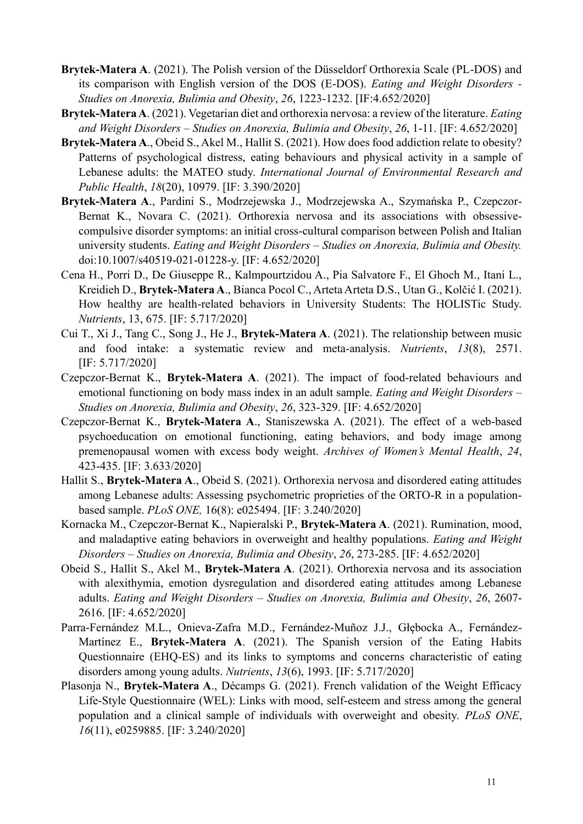- **Brytek-Matera A**. (2021). The Polish version of the Düsseldorf Orthorexia Scale (PL-DOS) and its comparison with English version of the DOS (E-DOS). *Eating and Weight Disorders - Studies on Anorexia, Bulimia and Obesity*, *26*, 1223-1232. [IF:4.652/2020]
- **Brytek-Matera A**. (2021). Vegetarian diet and orthorexia nervosa: a review of the literature. *Eating and Weight Disorders – Studies on Anorexia, Bulimia and Obesity*, *26*, 1-11. [IF: 4.652/2020]
- **Brytek-Matera A**., Obeid S., Akel M., Hallit S. (2021). How does food addiction relate to obesity? Patterns of psychological distress, eating behaviours and physical activity in a sample of Lebanese adults: the MATEO study. *International Journal of Environmental Research and Public Health*, *18*(20), 10979. [IF: 3.390/2020]
- **Brytek-Matera A**., Pardini S., Modrzejewska J., Modrzejewska A., Szymańska P., Czepczor-Bernat K., Novara C. (2021). Orthorexia nervosa and its associations with obsessivecompulsive disorder symptoms: an initial cross-cultural comparison between Polish and Italian university students. *Eating and Weight Disorders – Studies on Anorexia, Bulimia and Obesity.*  [doi:10.1007/s40519-021-01228-y.](https://link.springer.com/article/10.1007/s40519-021-01228-y) [IF: 4.652/2020]
- Cena H., Porri D., De Giuseppe R., Kalmpourtzidou A., Pia Salvatore F., El Ghoch M., Itani L., Kreidieh D., **Brytek-Matera A**., Bianca Pocol C., Arteta Arteta D.S., Utan G., Kolčić I. (2021). How healthy are health-related behaviors in University Students: The HOLISTic Study. *Nutrients*, 13, 675. [IF: 5.717/2020]
- Cui T., Xi J., Tang C., Song J., He J., **Brytek-Matera A**. (2021). The relationship between music and food intake: a systematic review and meta-analysis. *Nutrients*, *13*(8), 2571. [IF: 5.717/2020]
- Czepczor-Bernat K., **Brytek-Matera A**. (2021). The impact of food-related behaviours and emotional functioning on body mass index in an adult sample. *Eating and Weight Disorders – Studies on Anorexia, Bulimia and Obesity*, *26*, 323-329. [IF: 4.652/2020]
- Czepczor-Bernat K., **Brytek-Matera A**., Staniszewska A. (2021). The effect of a web-based psychoeducation on emotional functioning, eating behaviors, and body image among premenopausal women with excess body weight. *Archives of Women's Mental Health*, *24*, 423-435. [IF: 3.633/2020]
- Hallit S., **Brytek-Matera A**., Obeid S. (2021). Orthorexia nervosa and disordered eating attitudes among Lebanese adults: Assessing psychometric proprieties of the ORTO-R in a populationbased sample. *PLoS ONE,* 16(8): e025494. [IF: 3.240/2020]
- Kornacka M., Czepczor-Bernat K., Napieralski P., **Brytek-Matera A**. (2021). Rumination, mood, and maladaptive eating behaviors in overweight and healthy populations. *Eating and Weight Disorders – Studies on Anorexia, Bulimia and Obesity*, *26*, 273-285. [IF: 4.652/2020]
- Obeid S., Hallit S., Akel M., **Brytek-Matera A**. (2021). Orthorexia nervosa and its association with alexithymia, emotion dysregulation and disordered eating attitudes among Lebanese adults. *Eating and Weight Disorders – Studies on Anorexia, Bulimia and Obesity*, *26*, 2607- 2616. [IF: 4.652/2020]
- Parra-Fernández M.L., Onieva-Zafra M.D., Fernández-Muñoz J.J., Głębocka A., Fernández-Martínez E., **Brytek-Matera A**. (2021). The Spanish version of the Eating Habits Questionnaire (EHQ-ES) and its links to symptoms and concerns characteristic of eating disorders among young adults. *Nutrients*, *13*(6), 1993. [IF: 5.717/2020]
- Plasonja N., **Brytek-Matera A**., Décamps G. (2021). French validation of the Weight Efficacy Life-Style Questionnaire (WEL): Links with mood, self-esteem and stress among the general population and a clinical sample of individuals with overweight and obesity. *PLoS ONE*, *16*(11), e0259885. [IF: 3.240/2020]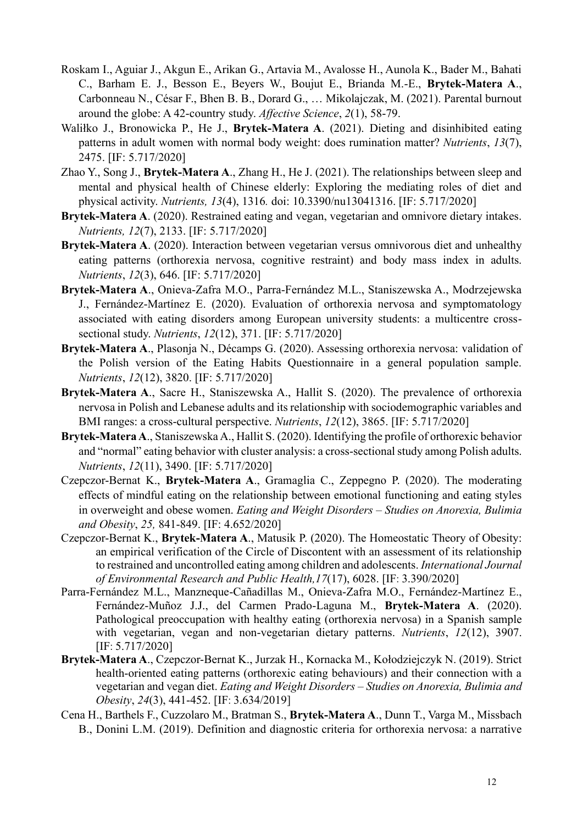- Roskam I., Aguiar J., Akgun E., Arikan G., Artavia M., Avalosse H., Aunola K., Bader M., Bahati C., Barham E. J., Besson E., Beyers W., Boujut E., Brianda M.-E., **Brytek-Matera A**., Carbonneau N., César F., Bhen B. B., Dorard G., … Mikolajczak, M. (2021). Parental burnout around the globe: A 42-country study. *Affective Science*, *2*(1), 58-79.
- Waliłko J., Bronowicka P., He J., **Brytek-Matera A**. (2021). Dieting and disinhibited eating patterns in adult women with normal body weight: does rumination matter? *Nutrients*, *13*(7), 2475. [IF: 5.717/2020]
- Zhao Y., Song J., **Brytek-Matera A**., Zhang H., He J. (2021). The relationships between sleep and mental and physical health of Chinese elderly: Exploring the mediating roles of diet and physical activity. *Nutrients, 13*(4), 1316*.* doi: [10.3390/nu13041316.](https://www.mdpi.com/2072-6643/13/4/1316) [IF: 5.717/2020]
- **Brytek-Matera A**. (2020). Restrained eating and vegan, vegetarian and omnivore dietary intakes. *Nutrients, 12*(7), 2133. [IF: 5.717/2020]
- **Brytek-Matera A**. (2020). Interaction between vegetarian versus omnivorous diet and unhealthy eating patterns (orthorexia nervosa, cognitive restraint) and body mass index in adults. *Nutrients*, *12*(3), 646. [IF: 5.717/2020]
- **Brytek-Matera A**., Onieva-Zafra M.O., Parra-Fernández M.L., Staniszewska A., Modrzejewska J., Fernández-Martínez E. (2020). Evaluation of orthorexia nervosa and symptomatology associated with eating disorders among European university students: a multicentre crosssectional study. *Nutrients*, *12*(12), 371. [IF: 5.717/2020]
- **Brytek-Matera A**., Plasonja N., Décamps G. (2020). Assessing orthorexia nervosa: validation of the Polish version of the Eating Habits Questionnaire in a general population sample. *Nutrients*, *12*(12), 3820. [IF: 5.717/2020]
- **Brytek-Matera A**., Sacre H., Staniszewska A., Hallit S. (2020). The prevalence of orthorexia nervosa in Polish and Lebanese adults and its relationship with sociodemographic variables and BMI ranges: a cross-cultural perspective. *Nutrients*, *12*(12), 3865. [IF: 5.717/2020]
- **Brytek-Matera A**., Staniszewska A., Hallit S. (2020). Identifying the profile of orthorexic behavior and "normal" eating behavior with cluster analysis: a cross-sectional study among Polish adults. *Nutrients*, *12*(11), 3490. [IF: 5.717/2020]
- Czepczor-Bernat K., **Brytek-Matera A**., Gramaglia C., Zeppegno P. (2020). The moderating effects of mindful eating on the relationship between emotional functioning and eating styles in overweight and obese women. *Eating and Weight Disorders – Studies on Anorexia, Bulimia and Obesity*, *25,* 841-849. [IF: 4.652/2020]
- Czepczor-Bernat K., **Brytek-Matera A**., Matusik P. (2020). The Homeostatic Theory of Obesity: an empirical verification of the Circle of Discontent with an assessment of its relationship to restrained and uncontrolled eating among children and adolescents. *International Journal of Environmental Research and Public Health,17*(17), 6028. [IF: 3.390/2020]
- Parra-Fernández M.L., Manzneque-Cañadillas M., Onieva-Zafra M.O., Fernández-Martínez E., Fernández-Muñoz J.J., del Carmen Prado-Laguna M., **Brytek-Matera A**. (2020). Pathological preoccupation with healthy eating (orthorexia nervosa) in a Spanish sample with vegetarian, vegan and non-vegetarian dietary patterns. *Nutrients*, *12*(12), 3907. [IF: 5.717/2020]
- **Brytek-Matera A**., Czepczor-Bernat K., Jurzak H., Kornacka M., Kołodziejczyk N. (2019). Strict health-oriented eating patterns (orthorexic eating behaviours) and their connection with a vegetarian and vegan diet. *Eating and Weight Disorders – Studies on Anorexia, Bulimia and Obesity*, *24*(3), 441-452. [IF: 3.634/2019]
- Cena H., Barthels F., Cuzzolaro M., Bratman S., **Brytek-Matera A**., Dunn T., Varga M., Missbach B., Donini L.M. (2019). Definition and diagnostic criteria for orthorexia nervosa: a narrative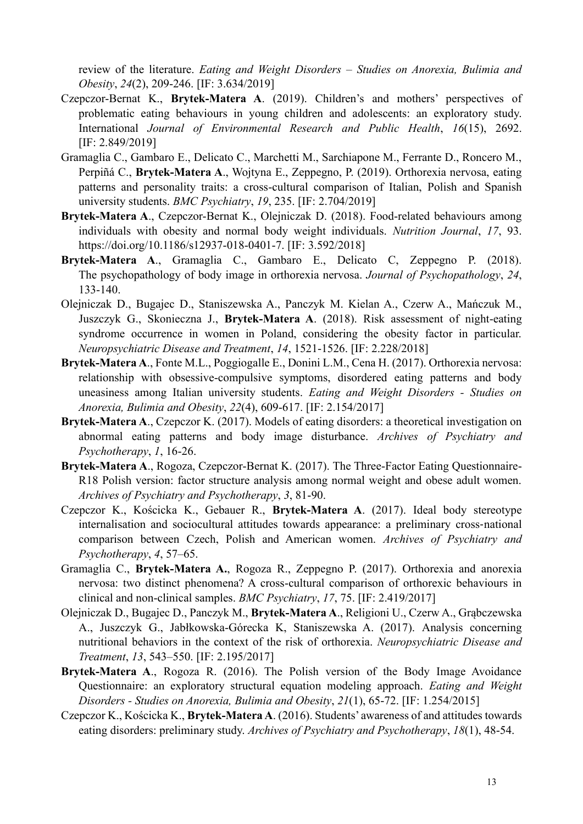review of the literature. *Eating and Weight Disorders – Studies on Anorexia, Bulimia and Obesity*, *24*(2), 209-246. [IF: 3.634/2019]

- Czepczor-Bernat K., **Brytek-Matera A**. (2019). Children's and mothers' perspectives of problematic eating behaviours in young children and adolescents: an exploratory study. International *Journal of Environmental Research and Public Health*, *16*(15), 2692. [IF: 2.849/2019]
- Gramaglia C., Gambaro E., Delicato C., Marchetti M., Sarchiapone M., Ferrante D., Roncero M., Perpiñá C., **Brytek-Matera A**., Wojtyna E., Zeppegno, P. (2019). Orthorexia nervosa, eating patterns and personality traits: a cross-cultural comparison of Italian, Polish and Spanish university students. *BMC Psychiatry*, *19*, 235. [IF: 2.704/2019]
- **Brytek-Matera A**., Czepczor-Bernat K., Olejniczak D. (2018). Food-related behaviours among individuals with obesity and normal body weight individuals. *Nutrition Journal*, *17*, 93. https://doi.org/10.1186/s12937-018-0401-7. [IF: 3.592/2018]
- **Brytek-Matera A**., Gramaglia C., Gambaro E., Delicato C, Zeppegno P. (2018). The psychopathology of body image in orthorexia nervosa. *Journal of Psychopathology*, *24*, 133-140.
- Olejniczak D., Bugajec D., Staniszewska A., Panczyk M. Kielan A., Czerw A., Mańczuk M., Juszczyk G., Skonieczna J., **Brytek-Matera A**. (2018). Risk assessment of night-eating syndrome occurrence in women in Poland, considering the obesity factor in particular. *Neuropsychiatric Disease and Treatment*, *14*, 1521-1526. [IF: 2.228/2018]
- **Brytek-Matera A**., Fonte M.L., Poggiogalle E., Donini L.M., Cena H. (2017). Orthorexia nervosa: relationship with obsessive-compulsive symptoms, disordered eating patterns and body uneasiness among Italian university students. *Eating and Weight Disorders - Studies on Anorexia, Bulimia and Obesity*, *22*(4), 609-617. [IF: 2.154/2017]
- **Brytek-Matera A**., Czepczor K. (2017). Models of eating disorders: a theoretical investigation on abnormal eating patterns and body image disturbance. *Archives of Psychiatry and Psychotherapy*, *1*, 16-26.
- **Brytek-Matera A**., Rogoza, Czepczor-Bernat K. (2017). The Three-Factor Eating Questionnaire-R18 Polish version: factor structure analysis among normal weight and obese adult women. *Archives of Psychiatry and Psychotherapy*, *3*, 81-90.
- Czepczor K., Kościcka K., Gebauer R., **Brytek-Matera A**. (2017). Ideal body stereotype internalisation and sociocultural attitudes towards appearance: a preliminary cross-national comparison between Czech, Polish and American women. *Archives of Psychiatry and Psychotherapy*, *4*, 57–65.
- Gramaglia C., **Brytek-Matera A.**, Rogoza R., Zeppegno P. (2017). Orthorexia and anorexia nervosa: two distinct phenomena? A cross-cultural comparison of orthorexic behaviours in clinical and non-clinical samples. *BMC Psychiatry*, *17*, 75. [IF: 2.419/2017]
- Olejniczak D., Bugajec D., Panczyk M., **Brytek-Matera A**., Religioni U., Czerw A., Grąbczewska A., Juszczyk G., Jabłkowska-Górecka K, Staniszewska A. (2017). Analysis concerning nutritional behaviors in the context of the risk of orthorexia. *Neuropsychiatric Disease and Treatment*, *13*, 543–550. [IF: 2.195/2017]
- **Brytek-Matera A**., Rogoza R. (2016). The Polish version of the Body Image Avoidance Questionnaire: an exploratory structural equation modeling approach. *Eating and Weight Disorders - Studies on Anorexia, Bulimia and Obesity*, *21*(1), 65-72. [IF: 1.254/2015]
- Czepczor K., Kościcka K., **Brytek-Matera A**. (2016). Students' awareness of and attitudes towards eating disorders: preliminary study. *Archives of Psychiatry and Psychotherapy*, *18*(1), 48-54.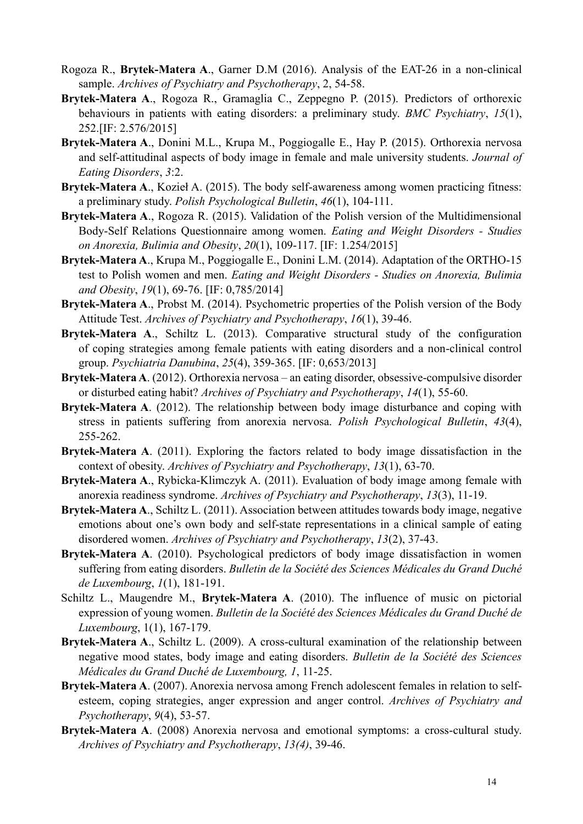- Rogoza R., **Brytek-Matera A**., Garner D.M (2016). Analysis of the EAT-26 in a non-clinical sample. *Archives of Psychiatry and Psychotherapy*, 2, 54-58.
- **Brytek-Matera A**., Rogoza R., Gramaglia C., Zeppegno P. (2015). Predictors of orthorexic behaviours in patients with eating disorders: a preliminary study. *BMC Psychiatry*, *15*(1), 252.[IF: 2.576/2015]
- **Brytek-Matera A**., Donini M.L., Krupa M., Poggiogalle E., Hay P. (2015). Orthorexia nervosa and self-attitudinal aspects of body image in female and male university students. *Journal of Eating Disorders*, *3*:2.
- **Brytek-Matera A**., Kozieł A. (2015). The body self-awareness among women practicing fitness: a preliminary study. *Polish Psychological Bulletin*, *46*(1), 104-111.
- **Brytek-Matera A**., Rogoza R. (2015). Validation of the Polish version of the Multidimensional Body-Self Relations Questionnaire among women. *Eating and Weight Disorders - Studies on Anorexia, Bulimia and Obesity*, *20*(1), 109-117. [IF: 1.254/2015]
- **Brytek-Matera A**., Krupa M., Poggiogalle E., Donini L.M. (2014). Adaptation of the ORTHO-15 test to Polish women and men. *Eating and Weight Disorders - Studies on Anorexia, Bulimia and Obesity*, *19*(1), 69-76. [IF: 0,785/2014]
- **Brytek-Matera A**., Probst M. (2014). Psychometric properties of the Polish version of the Body Attitude Test. *Archives of Psychiatry and Psychotherapy*, *16*(1), 39-46.
- **Brytek-Matera A**., Schiltz L. (2013). Comparative structural study of the configuration of coping strategies among female patients with eating disorders and a non-clinical control group. *Psychiatria Danubina*, *25*(4), 359-365. [IF: 0,653/2013]
- **Brytek-Matera A**. (2012). Orthorexia nervosa an eating disorder, obsessive-compulsive disorder or disturbed eating habit? *Archives of Psychiatry and Psychotherapy*, *14*(1), 55-60.
- **Brytek-Matera A**. (2012). The relationship between body image disturbance and coping with stress in patients suffering from anorexia nervosa. *Polish Psychological Bulletin*, *43*(4), 255-262.
- **Brytek-Matera A**. (2011). Exploring the factors related to body image dissatisfaction in the context of obesity. *Archives of Psychiatry and Psychotherapy*, *13*(1), 63-70.
- **Brytek-Matera A**., Rybicka-Klimczyk A. (2011). Evaluation of body image among female with anorexia readiness syndrome. *Archives of Psychiatry and Psychotherapy*, *13*(3), 11-19.
- **Brytek-Matera A**., Schiltz L. (2011). Association between attitudes towards body image, negative emotions about one's own body and self-state representations in a clinical sample of eating disordered women. *Archives of Psychiatry and Psychotherapy*, *13*(2), 37-43.
- **Brytek-Matera A**. (2010). Psychological predictors of body image dissatisfaction in women suffering from eating disorders. *Bulletin de la Société des Sciences Médicales du Grand Duché de Luxembourg*, *1*(1), 181-191.
- Schiltz L., Maugendre M., **Brytek-Matera A**. (2010). The influence of music on pictorial expression of young women. *Bulletin de la Société des Sciences Médicales du Grand Duché de Luxembourg*, 1(1), 167-179.
- **Brytek-Matera A**., Schiltz L. (2009). A cross-cultural examination of the relationship between negative mood states, body image and eating disorders. *Bulletin de la Société des Sciences Médicales du Grand Duché de Luxembourg, 1*, 11-25.
- **Brytek-Matera A**. (2007). Anorexia nervosa among French adolescent females in relation to selfesteem, coping strategies, anger expression and anger control. *Archives of Psychiatry and Psychotherapy*, *9*(4), 53-57.
- **Brytek-Matera A**. (2008) Anorexia nervosa and emotional symptoms: a cross-cultural study. *Archives of Psychiatry and Psychotherapy*, *13(4)*, 39-46.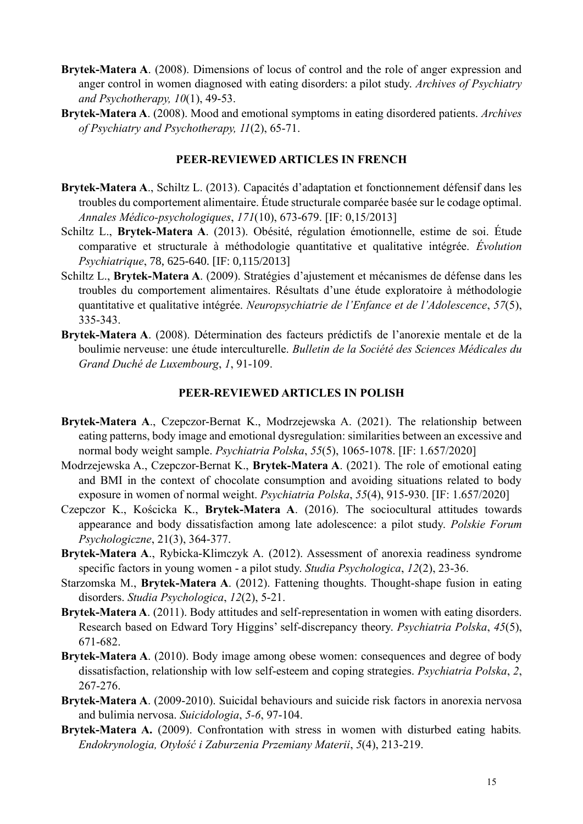- **Brytek-Matera A**. (2008). Dimensions of locus of control and the role of anger expression and anger control in women diagnosed with eating disorders: a pilot study. *Archives of Psychiatry and Psychotherapy, 10*(1), 49-53.
- **Brytek-Matera A**. (2008). Mood and emotional symptoms in eating disordered patients. *Archives of Psychiatry and Psychotherapy, 11*(2), 65-71.

#### **PEER-REVIEWED ARTICLES IN FRENCH**

- **Brytek-Matera A**., Schiltz L. (2013). Capacités d'adaptation et fonctionnement défensif dans les troubles du comportement alimentaire. Étude structurale comparée basée sur le codage optimal. *Annales Médico-psychologiques*, *171*(10), 673-679. [IF: 0,15/2013]
- Schiltz L., **Brytek-Matera A**. (2013). Obésité, régulation émotionnelle, estime de soi. Étude comparative et structurale à méthodologie quantitative et qualitative intégrée. *Évolution Psychiatrique*, 78, 625-640. [IF: 0,115/2013]
- Schiltz L., **Brytek-Matera A**. (2009). Stratégies d'ajustement et mécanismes de défense dans les troubles du comportement alimentaires. Résultats d'une étude exploratoire à méthodologie quantitative et qualitative intégrée. *Neuropsychiatrie de l'Enfance et de l'Adolescence*, *57*(5), 335-343.
- **Brytek-Matera A**. (2008). Détermination des facteurs prédictifs de l'anorexie mentale et de la boulimie nerveuse: une étude interculturelle. *Bulletin de la Société des Sciences Médicales du Grand Duché de Luxembourg*, *1*, 91-109.

#### **PEER-REVIEWED ARTICLES IN POLISH**

- **Brytek-Matera A**., Czepczor-Bernat K., Modrzejewska A. (2021). The relationship between eating patterns, body image and emotional dysregulation: similarities between an excessive and normal body weight sample. *Psychiatria Polska*, *55*(5), 1065-1078. [IF: 1.657/2020]
- Modrzejewska A., Czepczor-Bernat K., **Brytek-Matera A**. (2021). The role of emotional eating and BMI in the context of chocolate consumption and avoiding situations related to body exposure in women of normal weight. *Psychiatria Polska*, *55*(4), 915-930. [IF: 1.657/2020]
- Czepczor K., Kościcka K., **Brytek-Matera A**. (2016). The sociocultural attitudes towards appearance and body dissatisfaction among late adolescence: a pilot study. *Polskie Forum Psychologiczne*, 21(3), 364-377.
- **Brytek-Matera A**., Rybicka-Klimczyk A. (2012). Assessment of anorexia readiness syndrome specific factors in young women - a pilot study. *Studia Psychologica*, *12*(2), 23-36.
- Starzomska M., Brytek-Matera A. (2012). Fattening thoughts. Thought-shape fusion in eating disorders. *Studia Psychologica*, *12*(2), 5-21.
- **Brytek-Matera A**. (2011). Body attitudes and self-representation in women with eating disorders. Research based on Edward Tory Higgins' self-discrepancy theory. *Psychiatria Polska*, *45*(5), 671-682.
- **Brytek-Matera A**. (2010). Body image among obese women: consequences and degree of body dissatisfaction, relationship with low self-esteem and coping strategies. *Psychiatria Polska*, *2*, 267-276.
- **Brytek-Matera A**. (2009-2010). Suicidal behaviours and suicide risk factors in anorexia nervosa and bulimia nervosa. *Suicidologia*, *5-6*, 97-104.
- **Brytek-Matera A.** (2009). Confrontation with stress in women with disturbed eating habits*. Endokrynologia, Otyłość i Zaburzenia Przemiany Materii*, *5*(4), 213-219.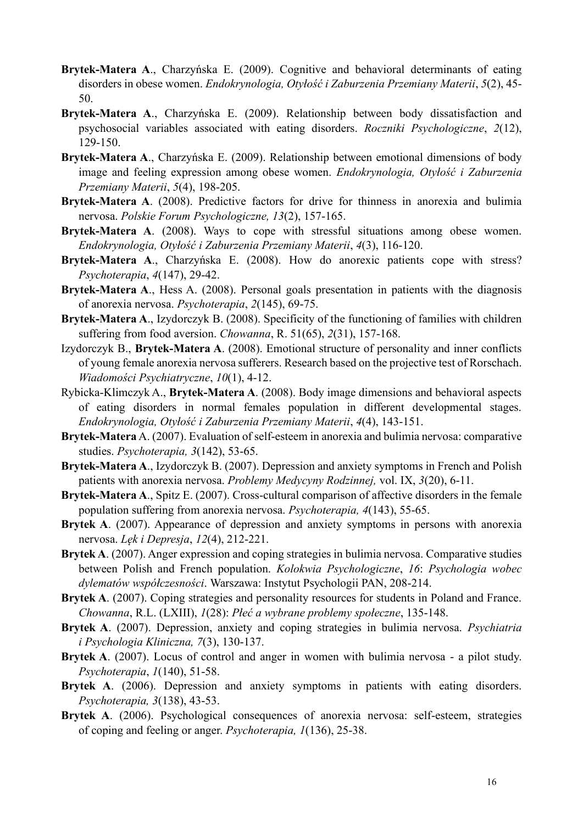- **Brytek-Matera A**., Charzyńska E. (2009). Cognitive and behavioral determinants of eating disorders in obese women. *Endokrynologia, Otyłość i Zaburzenia Przemiany Materii*, *5*(2), 45- 50.
- **Brytek-Matera A**., Charzyńska E. (2009). Relationship between body dissatisfaction and psychosocial variables associated with eating disorders. *Roczniki Psychologiczne*, *2*(12), 129-150.
- **Brytek-Matera A**., Charzyńska E. (2009). Relationship between emotional dimensions of body image and feeling expression among obese women. *Endokrynologia, Otyłość i Zaburzenia Przemiany Materii*, *5*(4), 198-205.
- **Brytek-Matera A**. (2008). Predictive factors for drive for thinness in anorexia and bulimia nervosa. *Polskie Forum Psychologiczne, 13*(2), 157-165.
- **Brytek-Matera A**. (2008). Ways to cope with stressful situations among obese women. *Endokrynologia, Otyłość i Zaburzenia Przemiany Materii*, *4*(3), 116-120.
- **Brytek-Matera A**., Charzyńska E. (2008). How do anorexic patients cope with stress? *Psychoterapia*, *4*(147), 29-42.
- **Brytek-Matera A**., Hess A. (2008). Personal goals presentation in patients with the diagnosis of anorexia nervosa. *Psychoterapia*, *2*(145), 69-75.
- **Brytek-Matera A**., Izydorczyk B. (2008). Specificity of the functioning of families with children suffering from food aversion. *Chowanna*, R. 51(65), *2*(31), 157-168.
- Izydorczyk B., **Brytek-Matera A**. (2008). Emotional structure of personality and inner conflicts of young female anorexia nervosa sufferers. Research based on the projective test of Rorschach. *Wiadomości Psychiatryczne*, *10*(1), 4-12.
- Rybicka-Klimczyk A., **Brytek-Matera A**. (2008). Body image dimensions and behavioral aspects of eating disorders in normal females population in different developmental stages. *Endokrynologia, Otyłość i Zaburzenia Przemiany Materii*, *4*(4), 143-151.
- **Brytek-Matera** A. (2007). Evaluation of self-esteem in anorexia and bulimia nervosa: comparative studies. *Psychoterapia, 3*(142), 53-65.
- **Brytek-Matera A**., Izydorczyk B. (2007). Depression and anxiety symptoms in French and Polish patients with anorexia nervosa. *Problemy Medycyny Rodzinnej,* vol. IX, *3*(20), 6-11.
- **Brytek-Matera A**., Spitz E. (2007). Cross-cultural comparison of affective disorders in the female population suffering from anorexia nervosa. *Psychoterapia, 4*(143), 55-65.
- **Brytek A**. (2007). Appearance of depression and anxiety symptoms in persons with anorexia nervosa. *Lęk i Depresja*, *12*(4), 212-221.
- **Brytek A**. (2007). Anger expression and coping strategies in bulimia nervosa. Comparative studies between Polish and French population. *Kolokwia Psychologiczne*, *16*: *Psychologia wobec dylematów współczesności*. Warszawa: Instytut Psychologii PAN, 208-214.
- **Brytek A**. (2007). Coping strategies and personality resources for students in Poland and France. *Chowanna*, R.L. (LXIII), *1*(28): *Płeć a wybrane problemy społeczne*, 135-148.
- **Brytek A**. (2007). Depression, anxiety and coping strategies in bulimia nervosa. *Psychiatria i Psychologia Kliniczna, 7*(3), 130-137.
- **Brytek A**. (2007). Locus of control and anger in women with bulimia nervosa a pilot study. *Psychoterapia*, *1*(140), 51-58.
- **Brytek A**. (2006). Depression and anxiety symptoms in patients with eating disorders. *Psychoterapia, 3*(138), 43-53.
- **Brytek A**. (2006). Psychological consequences of anorexia nervosa: self-esteem, strategies of coping and feeling or anger. *Psychoterapia, 1*(136), 25-38.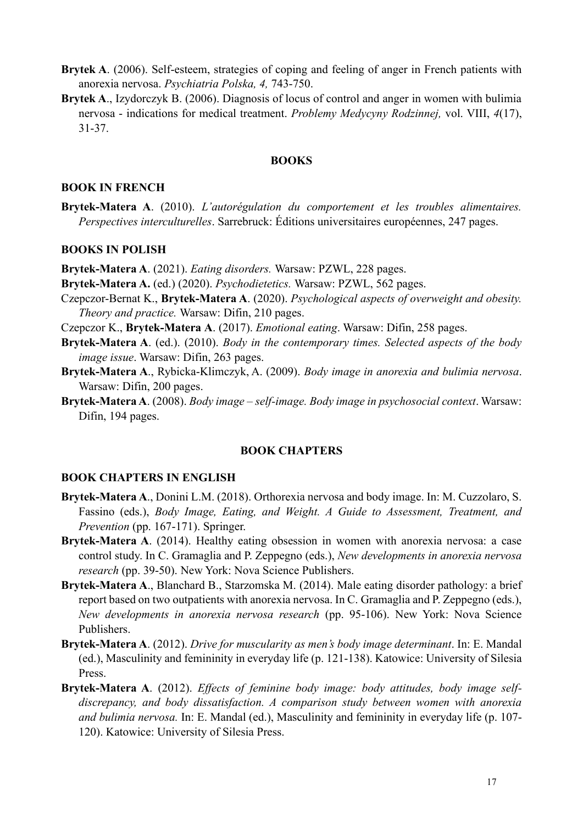- **Brytek A**. (2006). Self-esteem, strategies of coping and feeling of anger in French patients with anorexia nervosa. *Psychiatria Polska, 4,* 743-750.
- **Brytek A**., Izydorczyk B. (2006). Diagnosis of locus of control and anger in women with bulimia nervosa - indications for medical treatment. *Problemy Medycyny Rodzinnej,* vol. VIII, *4*(17), 31-37.

#### **BOOKS**

#### **BOOK IN FRENCH**

**Brytek-Matera A**. (2010). *L'autorégulation du comportement et les troubles alimentaires. Perspectives interculturelles*. Sarrebruck: Éditions universitaires européennes, 247 pages.

#### **BOOKS IN POLISH**

**Brytek-Matera A**. (2021). *Eating disorders.* Warsaw: PZWL, 228 pages.

**Brytek-Matera A.** (ed.) (2020). *Psychodietetics.* Warsaw: PZWL, 562 pages.

- Czepczor-Bernat K., **Brytek-Matera A**. (2020). *Psychological aspects of overweight and obesity. Theory and practice.* Warsaw: Difin, 210 pages.
- Czepczor K., **Brytek-Matera A**. (2017). *Emotional eating*. Warsaw: Difin, 258 pages.
- **Brytek-Matera A**. (ed.). (2010). *Body in the contemporary times. Selected aspects of the body image issue*. Warsaw: Difin, 263 pages.
- **Brytek-Matera A**., Rybicka-Klimczyk, A. (2009). *Body image in anorexia and bulimia nervosa*. Warsaw: Difin, 200 pages.
- **Brytek-Matera A**. (2008). *Body image – self-image. Body image in psychosocial context*. Warsaw: Difin, 194 pages.

#### **BOOK CHAPTERS**

#### **BOOK CHAPTERS IN ENGLISH**

- **Brytek-Matera A**., Donini L.M. (2018). Orthorexia nervosa and body image. In: M. Cuzzolaro, S. Fassino (eds.), *Body Image, Eating, and Weight. A Guide to Assessment, Treatment, and Prevention* (pp. 167-171). Springer.
- **Brytek-Matera A**. (2014). Healthy eating obsession in women with anorexia nervosa: a case control study. In C. Gramaglia and P. Zeppegno (eds.), *New developments in anorexia nervosa research* (pp. 39-50). New York: Nova Science Publishers.
- **Brytek-Matera A**., Blanchard B., Starzomska M. (2014). Male eating disorder pathology: a brief report based on two outpatients with anorexia nervosa. In C. Gramaglia and P. Zeppegno (eds.), *New developments in anorexia nervosa research* (pp. 95-106). New York: Nova Science Publishers.
- **Brytek-Matera A**. (2012). *Drive for muscularity as men's body image determinant*. In: E. Mandal (ed.), Masculinity and femininity in everyday life (p. 121-138). Katowice: University of Silesia Press.
- **Brytek-Matera A**. (2012). *Effects of feminine body image: body attitudes, body image selfdiscrepancy, and body dissatisfaction. A comparison study between women with anorexia and bulimia nervosa.* In: E. Mandal (ed.), Masculinity and femininity in everyday life (p. 107- 120). Katowice: University of Silesia Press.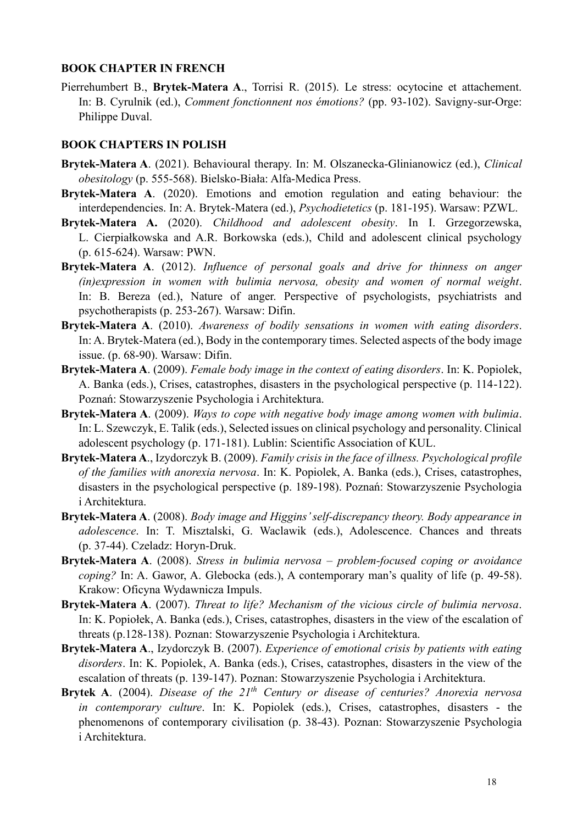#### **BOOK CHAPTER IN FRENCH**

Pierrehumbert B., **Brytek-Matera A**., Torrisi R. (2015). Le stress: ocytocine et attachement. In: B. Cyrulnik (ed.), *Comment fonctionnent nos émotions?* (pp. 93-102). Savigny-sur-Orge: Philippe Duval.

#### **BOOK CHAPTERS IN POLISH**

- **Brytek-Matera A**. (2021). Behavioural therapy. In: M. Olszanecka-Glinianowicz (ed.), *Clinical obesitology* (p. 555-568). Bielsko-Biała: Alfa-Medica Press.
- **Brytek-Matera A**. (2020). Emotions and emotion regulation and eating behaviour: the interdependencies. In: A. Brytek-Matera (ed.), *Psychodietetics* (p. 181-195). Warsaw: PZWL.
- **Brytek-Matera A.** (2020). *Childhood and adolescent obesity*. In I. Grzegorzewska, L. Cierpiałkowska and A.R. Borkowska (eds.), Child and adolescent clinical psychology (p. 615-624). Warsaw: PWN.
- **Brytek-Matera A**. (2012). *Influence of personal goals and drive for thinness on anger (in)expression in women with bulimia nervosa, obesity and women of normal weight*. In: B. Bereza (ed.), Nature of anger. Perspective of psychologists, psychiatrists and psychotherapists (p. 253-267). Warsaw: Difin.
- **Brytek-Matera A**. (2010). *Awareness of bodily sensations in women with eating disorders*. In: A. Brytek-Matera (ed.), Body in the contemporary times. Selected aspects of the body image issue. (p. 68-90). Warsaw: Difin.
- **Brytek-Matera A**. (2009). *Female body image in the context of eating disorders*. In: K. Popiolek, A. Banka (eds.), Crises, catastrophes, disasters in the psychological perspective (p. 114-122). Poznań: Stowarzyszenie Psychologia i Architektura.
- **Brytek-Matera A**. (2009). *Ways to cope with negative body image among women with bulimia*. In: L. Szewczyk, E. Talik (eds.), Selected issues on clinical psychology and personality. Clinical adolescent psychology (p. 171-181). Lublin: Scientific Association of KUL.
- **Brytek-Matera A**., Izydorczyk B. (2009). *Family crisis in the face of illness. Psychological profile of the families with anorexia nervosa*. In: K. Popiolek, A. Banka (eds.), Crises, catastrophes, disasters in the psychological perspective (p. 189-198). Poznań: Stowarzyszenie Psychologia i Architektura.
- **Brytek-Matera A**. (2008). *Body image and Higgins' self-discrepancy theory. Body appearance in adolescence*. In: T. Misztalski, G. Waclawik (eds.), Adolescence. Chances and threats (p. 37-44). Czeladz: Horyn-Druk.
- **Brytek-Matera A**. (2008). *Stress in bulimia nervosa – problem-focused coping or avoidance coping?* In: A. Gawor, A. Glebocka (eds.), A contemporary man's quality of life (p. 49-58). Krakow: Oficyna Wydawnicza Impuls.
- **Brytek-Matera A**. (2007). *Threat to life? Mechanism of the vicious circle of bulimia nervosa*. In: K. Popiołek, A. Banka (eds.), Crises, catastrophes, disasters in the view of the escalation of threats (p.128-138). Poznan: Stowarzyszenie Psychologia i Architektura.
- **Brytek-Matera A**., Izydorczyk B. (2007). *Experience of emotional crisis by patients with eating disorders*. In: K. Popiolek, A. Banka (eds.), Crises, catastrophes, disasters in the view of the escalation of threats (p. 139-147). Poznan: Stowarzyszenie Psychologia i Architektura.
- **Brytek A**. (2004). *Disease of the 21th Century or disease of centuries? Anorexia nervosa in contemporary culture*. In: K. Popiolek (eds.), Crises, catastrophes, disasters - the phenomenons of contemporary civilisation (p. 38-43). Poznan: Stowarzyszenie Psychologia i Architektura.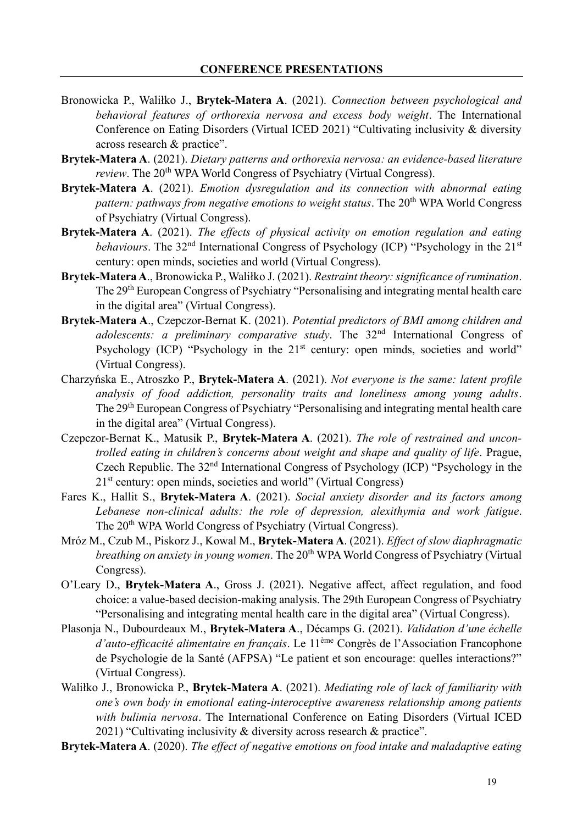- Bronowicka P., Waliłko J., **Brytek-Matera A**. (2021). *Connection between psychological and behavioral features of orthorexia nervosa and excess body weight*. The International Conference on Eating Disorders (Virtual ICED 2021) "Cultivating inclusivity & diversity across research & practice".
- **Brytek-Matera A**. (2021). *Dietary patterns and orthorexia nervosa: an evidence-based literature*  review. The 20<sup>th</sup> WPA World Congress of Psychiatry (Virtual Congress).
- **Brytek-Matera A**. (2021). *Emotion dysregulation and its connection with abnormal eating pattern: pathways from negative emotions to weight status.* The 20<sup>th</sup> WPA World Congress of Psychiatry (Virtual Congress).
- **Brytek-Matera A**. (2021). *The effects of physical activity on emotion regulation and eating behaviours*. The 32<sup>nd</sup> International Congress of Psychology (ICP) "Psychology in the 21<sup>st</sup> century: open minds, societies and world (Virtual Congress).
- **Brytek-Matera A**., Bronowicka P., Waliłko J. (2021). *Restraint theory: significance of rumination*. The 29<sup>th</sup> European Congress of Psychiatry "Personalising and integrating mental health care in the digital area" (Virtual Congress).
- **Brytek-Matera A**., Czepczor-Bernat K. (2021). *Potential predictors of BMI among children and adolescents: a preliminary comparative study*. The 32nd International Congress of Psychology (ICP) "Psychology in the 21<sup>st</sup> century: open minds, societies and world" (Virtual Congress).
- Charzyńska E., Atroszko P., **Brytek-Matera A**. (2021). *Not everyone is the same: latent profile analysis of food addiction, personality traits and loneliness among young adults*. The 29<sup>th</sup> European Congress of Psychiatry "Personalising and integrating mental health care in the digital area" (Virtual Congress).
- Czepczor-Bernat K., Matusik P., **Brytek-Matera A**. (2021). *The role of restrained and uncontrolled eating in children's concerns about weight and shape and quality of life*. Prague, Czech Republic. The 32nd International Congress of Psychology (ICP) "Psychology in the  $21<sup>st</sup>$  century: open minds, societies and world" (Virtual Congress)
- Fares K., Hallit S., **Brytek-Matera A**. (2021). *Social anxiety disorder and its factors among Lebanese non-clinical adults: the role of depression, alexithymia and work fatigue*. The 20<sup>th</sup> WPA World Congress of Psychiatry (Virtual Congress).
- Mróz M., Czub M., Piskorz J., Kowal M., **Brytek-Matera A**. (2021). *Effect of slow diaphragmatic breathing on anxiety in young women*. The 20<sup>th</sup> WPA World Congress of Psychiatry (Virtual Congress).
- O'Leary D., **Brytek-Matera A**., Gross J. (2021). Negative affect, affect regulation, and food choice: a value-based decision-making analysis. The 29th European Congress of Psychiatry "Personalising and integrating mental health care in the digital area" (Virtual Congress).
- Plasonja N., Dubourdeaux M., **Brytek-Matera A**., Décamps G. (2021). *Validation d'une échelle d'auto-efficacité alimentaire en français*. Le 11ème Congrès de l'Association Francophone de Psychologie de la Santé (AFPSA) "Le patient et son encourage: quelles interactions?" (Virtual Congress).
- Waliłko J., Bronowicka P., **Brytek-Matera A**. (2021). *Mediating role of lack of familiarity with one's own body in emotional eating-interoceptive awareness relationship among patients with bulimia nervosa*. The International Conference on Eating Disorders (Virtual ICED 2021) "Cultivating inclusivity & diversity across research & practice".
- **Brytek-Matera A**. (2020). *The effect of negative emotions on food intake and maladaptive eating*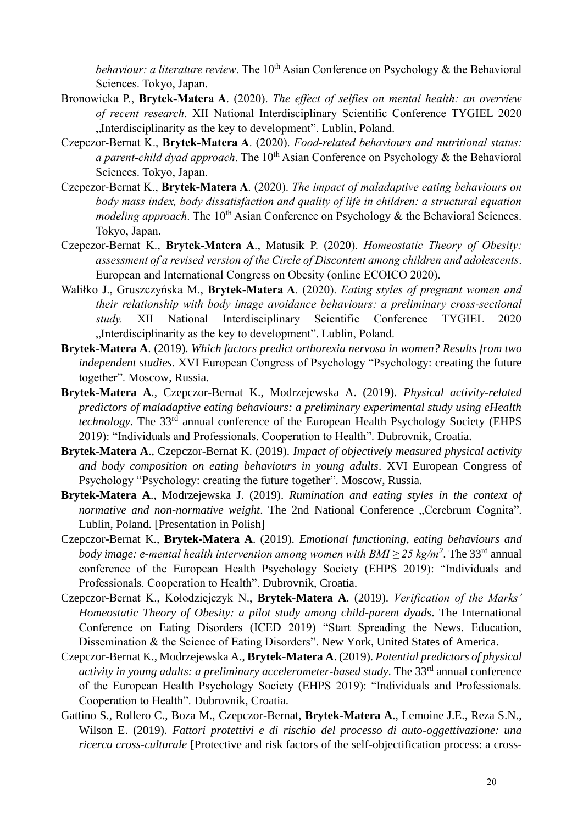*behaviour: a literature review.* The 10<sup>th</sup> Asian Conference on Psychology & the Behavioral Sciences. Tokyo, Japan.

- Bronowicka P., **Brytek-Matera A**. (2020). *The effect of selfies on mental health: an overview of recent research*. XII National Interdisciplinary Scientific Conference TYGIEL 2020 "Interdisciplinarity as the key to development". Lublin, Poland.
- Czepczor-Bernat K., **Brytek-Matera A**. (2020). *Food-related behaviours and nutritional status: a parent-child dyad approach*. The 10<sup>th</sup> Asian Conference on Psychology & the Behavioral Sciences. Tokyo, Japan.
- Czepczor-Bernat K., **Brytek-Matera A**. (2020). *The impact of maladaptive eating behaviours on body mass index, body dissatisfaction and quality of life in children: a structural equation modeling approach*. The 10<sup>th</sup> Asian Conference on Psychology & the Behavioral Sciences. Tokyo, Japan.
- Czepczor-Bernat K., **Brytek-Matera A**., Matusik P. (2020). *Homeostatic Theory of Obesity: assessment of a revised version of the Circle of Discontent among children and adolescents*. European and International Congress on Obesity (online ECOICO 2020).
- Waliłko J., Gruszczyńska M., **Brytek-Matera A**. (2020). *Eating styles of pregnant women and their relationship with body image avoidance behaviours: a preliminary cross-sectional study.* XII National Interdisciplinary Scientific Conference TYGIEL 2020 "Interdisciplinarity as the key to development". Lublin, Poland.
- **Brytek-Matera A**. (2019). *Which factors predict orthorexia nervosa in women? Results from two independent studies*. XVI European Congress of Psychology "Psychology: creating the future together". Moscow, Russia.
- **Brytek-Matera A**., Czepczor-Bernat K., Modrzejewska A. (2019). *Physical activity-related predictors of maladaptive eating behaviours: a preliminary experimental study using eHealth technology*. The 33<sup>rd</sup> annual conference of the European Health Psychology Society (EHPS 2019): "Individuals and Professionals. Cooperation to Health". Dubrovnik, Croatia.
- **Brytek-Matera A**., Czepczor-Bernat K. (2019). *Impact of objectively measured physical activity and body composition on eating behaviours in young adults*. XVI European Congress of Psychology "Psychology: creating the future together". Moscow, Russia.
- **Brytek-Matera A**., Modrzejewska J. (2019). *Rumination and eating styles in the context of normative and non-normative weight*. The 2nd National Conference "Cerebrum Cognita". Lublin, Poland. [Presentation in Polish]
- Czepczor-Bernat K., **Brytek-Matera A**. (2019). *Emotional functioning, eating behaviours and body image: e-mental health intervention among women with BMI*  $\geq$  *25 kg/m<sup>2</sup>. The 33<sup>rd</sup> annual* conference of the European Health Psychology Society (EHPS 2019): "Individuals and Professionals. Cooperation to Health". Dubrovnik, Croatia.
- Czepczor-Bernat K., Kołodziejczyk N., **Brytek-Matera A**. (2019). *Verification of the Marks' Homeostatic Theory of Obesity: a pilot study among child-parent dyads*. The International Conference on Eating Disorders (ICED 2019) "Start Spreading the News. Education, Dissemination & the Science of Eating Disorders". New York, United States of America.
- Czepczor-Bernat K., Modrzejewska A., **Brytek-Matera A**. (2019). *Potential predictors of physical activity in young adults: a preliminary accelerometer-based study.* The 33<sup>rd</sup> annual conference of the European Health Psychology Society (EHPS 2019): "Individuals and Professionals. Cooperation to Health". Dubrovnik, Croatia.
- Gattino S., Rollero C., Boza M., Czepczor-Bernat, **Brytek-Matera A**., Lemoine J.E., Reza S.N., Wilson E. (2019). *Fattori protettivi e di rischio del processo di auto-oggettivazione: una ricerca cross-culturale* [Protective and risk factors of the self-objectification process: a cross-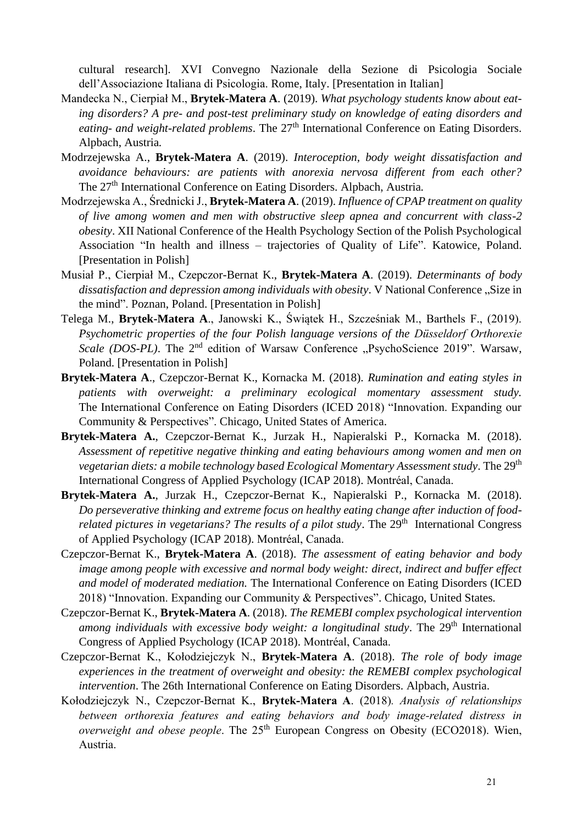cultural research]. XVI Convegno Nazionale della Sezione di Psicologia Sociale dell'Associazione Italiana di Psicologia. Rome, Italy. [Presentation in Italian]

- Mandecka N., Cierpiał M., **Brytek-Matera A**. (2019). *What psychology students know about eating disorders? A pre- and post-test preliminary study on knowledge of eating disorders and eating- and weight-related problems*. The 27<sup>th</sup> International Conference on Eating Disorders. Alpbach, Austria*.*
- Modrzejewska A., **Brytek-Matera A**. (2019). *Interoception, body weight dissatisfaction and avoidance behaviours: are patients with anorexia nervosa different from each other?* The 27th International Conference on Eating Disorders. Alpbach, Austria*.*
- Modrzejewska A., Średnicki J., **Brytek-Matera A**. (2019). *Influence of CPAP treatment on quality of live among women and men with obstructive sleep apnea and concurrent with class-2 obesity*. XII National Conference of the Health Psychology Section of the Polish Psychological Association "In health and illness – trajectories of Quality of Life". Katowice, Poland. [Presentation in Polish]
- Musiał P., Cierpiał M., Czepczor-Bernat K., **Brytek-Matera A**. (2019). *Determinants of body dissatisfaction and depression among individuals with obesity.* V National Conference "Size in the mind". Poznan, Poland. [Presentation in Polish]
- Telega M., **Brytek-Matera A**., Janowski K., Świątek H., Szcześniak M., Barthels F., (2019). *Psychometric properties of the four Polish language versions of the Düsseldorf Orthorexie Scale (DOS-PL)*. The 2<sup>nd</sup> edition of Warsaw Conference "PsychoScience 2019". Warsaw, Poland. [Presentation in Polish]
- **Brytek-Matera A**., Czepczor-Bernat K., Kornacka M. (2018). *Rumination and eating styles in patients with overweight: a preliminary ecological momentary assessment study.*  The International Conference on Eating Disorders (ICED 2018) "Innovation. Expanding our Community & Perspectives". Chicago, United States of America.
- **Brytek-Matera A.**, Czepczor-Bernat K., Jurzak H., Napieralski P., Kornacka M. (2018). *Assessment of repetitive negative thinking and eating behaviours among women and men on vegetarian diets: a mobile technology based Ecological Momentary Assessment study.* The 29<sup>th</sup> International Congress of Applied Psychology (ICAP 2018). Montréal, Canada.
- **Brytek-Matera A.**, Jurzak H., Czepczor-Bernat K., Napieralski P., Kornacka M. (2018). *Do perseverative thinking and extreme focus on healthy eating change after induction of foodrelated pictures in vegetarians? The results of a pilot study.* The 29<sup>th</sup> International Congress of Applied Psychology (ICAP 2018). Montréal, Canada.
- Czepczor-Bernat K., **Brytek-Matera A**. (2018). *The assessment of eating behavior and body image among people with excessive and normal body weight: direct, indirect and buffer effect and model of moderated mediation.* The International Conference on Eating Disorders (ICED 2018) "Innovation. Expanding our Community & Perspectives". Chicago, United States*.*
- Czepczor-Bernat K., **Brytek-Matera A**. (2018). *The REMEBI complex psychological intervention among individuals with excessive body weight: a longitudinal study*. The 29<sup>th</sup> International Congress of Applied Psychology (ICAP 2018). Montréal, Canada.
- Czepczor-Bernat K., Kołodziejczyk N., **Brytek-Matera A**. (2018). *The role of body image experiences in the treatment of overweight and obesity: the REMEBI complex psychological intervention*. The 26th International Conference on Eating Disorders. Alpbach, Austria.
- Kołodziejczyk N., Czepczor-Bernat K., **Brytek-Matera A**. (2018)*. Analysis of relationships between orthorexia features and eating behaviors and body image-related distress in overweight and obese people*. The 25<sup>th</sup> European Congress on Obesity (ECO2018). Wien, Austria.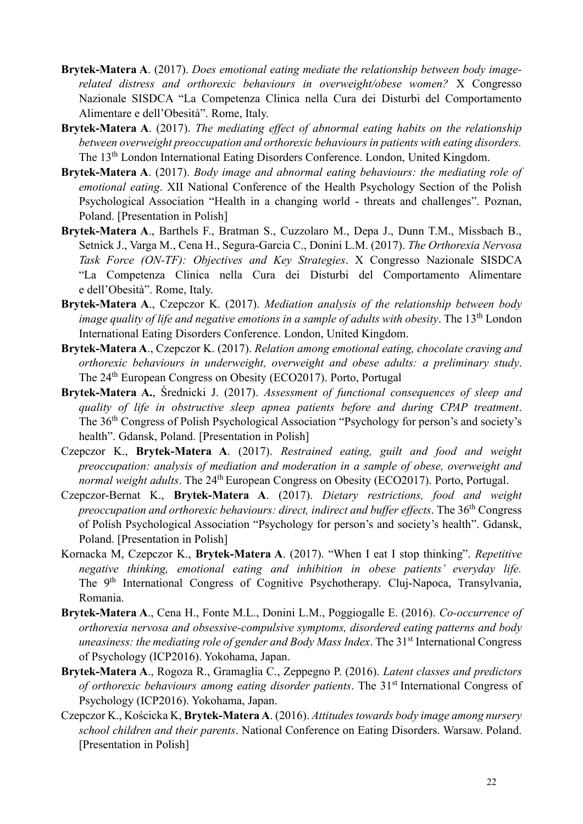- **Brytek-Matera A**. (2017). *Does emotional eating mediate the relationship between body imagerelated distress and orthorexic behaviours in overweight/obese women?* X Congresso Nazionale SISDCA "La Competenza Clinica nella Cura dei Disturbi del Comportamento Alimentare e dell'Obesità". Rome, Italy.
- **Brytek-Matera A**. (2017). *The mediating effect of abnormal eating habits on the relationship between overweight preoccupation and orthorexic behaviours in patients with eating disorders.* The 13th London International Eating Disorders Conference. London, United Kingdom.
- **Brytek-Matera A**. (2017). *Body image and abnormal eating behaviours: the mediating role of emotional eating*. XII National Conference of the Health Psychology Section of the Polish Psychological Association "Health in a changing world - threats and challenges". Poznan, Poland. [Presentation in Polish]
- **Brytek-Matera A**., Barthels F., Bratman S., Cuzzolaro M., Depa J., Dunn T.M., Missbach B., Setnick J., Varga M., Cena H., Segura-Garcia C., Donini L.M. (2017). *The Orthorexia Nervosa Task Force (ON-TF): Objectives and Key Strategies*. X Congresso Nazionale SISDCA "La Competenza Clinica nella Cura dei Disturbi del Comportamento Alimentare e dell'Obesità". Rome, Italy.
- **Brytek-Matera A**., Czepczor K. (2017). *Mediation analysis of the relationship between body image quality of life and negative emotions in a sample of adults with obesity.* The 13<sup>th</sup> London International Eating Disorders Conference. London, United Kingdom.
- **Brytek-Matera A**., Czepczor K. (2017). *Relation among emotional eating, chocolate craving and orthorexic behaviours in underweight, overweight and obese adults: a preliminary study*. The 24<sup>th</sup> European Congress on Obesity (ECO2017). Porto, Portugal
- **Brytek-Matera A.**, Średnicki J. (2017). *Assessment of functional consequences of sleep and quality of life in obstructive sleep apnea patients before and during CPAP treatment*. The 36th Congress of Polish Psychological Association "Psychology for person's and society's health". Gdansk, Poland. [Presentation in Polish]
- Czepczor K., **Brytek-Matera A**. (2017). *Restrained eating, guilt and food and weight preoccupation: analysis of mediation and moderation in a sample of obese, overweight and normal weight adults*. The 24<sup>th</sup> European Congress on Obesity (ECO2017). Porto, Portugal.
- Czepczor-Bernat K., **Brytek-Matera A**. (2017). *Dietary restrictions, food and weight preoccupation and orthorexic behaviours: direct, indirect and buffer effects*. The 36th Congress of Polish Psychological Association "Psychology for person's and society's health". Gdansk, Poland. [Presentation in Polish]
- Kornacka M, Czepczor K., **Brytek-Matera A**. (2017). "When I eat I stop thinking". *Repetitive negative thinking, emotional eating and inhibition in obese patients' everyday life.* The 9<sup>th</sup> International Congress of Cognitive Psychotherapy. Cluj-Napoca, Transylvania, Romania.
- **Brytek-Matera A**., Cena H., Fonte M.L., Donini L.M., Poggiogalle E. (2016). *Co-occurrence of orthorexia nervosa and obsessive-compulsive symptoms, disordered eating patterns and body uneasiness: the mediating role of gender and Body Mass Index. The 31<sup>st</sup> International Congress* of Psychology (ICP2016). Yokohama, Japan.
- **Brytek-Matera A**., Rogoza R., Gramaglia C., Zeppegno P. (2016). *Latent classes and predictors of orthorexic behaviours among eating disorder patients*. The 31<sup>st</sup> International Congress of Psychology (ICP2016). Yokohama, Japan.
- Czepczor K., Kościcka K, **Brytek-Matera A**. (2016). *Attitudes towards body image among nursery school children and their parents*. National Conference on Eating Disorders. Warsaw. Poland. [Presentation in Polish]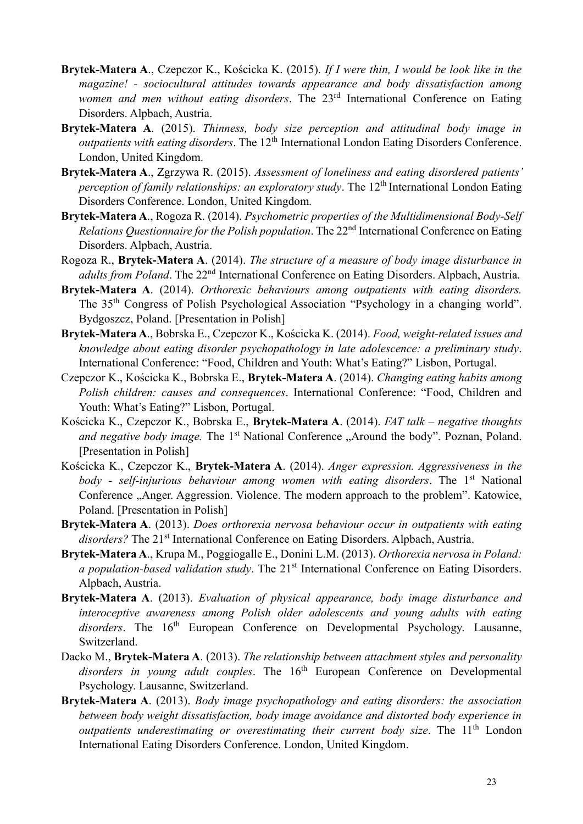- **Brytek-Matera A**., Czepczor K., Kościcka K. (2015). *If I were thin, I would be look like in the magazine! - sociocultural attitudes towards appearance and body dissatisfaction among women and men without eating disorders*. The 23rd International Conference on Eating Disorders. Alpbach, Austria.
- **Brytek-Matera A**. (2015). *Thinness, body size perception and attitudinal body image in outpatients with eating disorders*. The 12<sup>th</sup> International London Eating Disorders Conference. London, United Kingdom.
- **Brytek-Matera A**., Zgrzywa R. (2015). *Assessment of loneliness and eating disordered patients' perception of family relationships: an exploratory study*. The 12<sup>th</sup> International London Eating Disorders Conference. London, United Kingdom*.*
- **Brytek-Matera A**., Rogoza R. (2014). *Psychometric properties of the Multidimensional Body-Self Relations Questionnaire for the Polish population*. The 22nd International Conference on Eating Disorders. Alpbach, Austria.
- Rogoza R., **Brytek-Matera A**. (2014). *The structure of a measure of body image disturbance in adults from Poland*. The 22<sup>nd</sup> International Conference on Eating Disorders. Alpbach, Austria.
- **Brytek-Matera A**. (2014). *Orthorexic behaviours among outpatients with eating disorders.*  The 35th Congress of Polish Psychological Association "Psychology in a changing world". Bydgoszcz, Poland. [Presentation in Polish]
- **Brytek-Matera A**., Bobrska E., Czepczor K., Kościcka K. (2014). *Food, weight-related issues and knowledge about eating disorder psychopathology in late adolescence: a preliminary study*. International Conference: "Food, Children and Youth: What's Eating?" Lisbon, Portugal.
- Czepczor K., Kościcka K., Bobrska E., **Brytek-Matera A**. (2014). *Changing eating habits among Polish children: causes and consequences*. International Conference: "Food, Children and Youth: What's Eating?" Lisbon, Portugal.
- Kościcka K., Czepczor K., Bobrska E., **Brytek-Matera A**. (2014). *FAT talk – negative thoughts and negative body image.* The 1<sup>st</sup> National Conference "Around the body". Poznan, Poland. [Presentation in Polish]
- Kościcka K., Czepczor K., **Brytek-Matera A**. (2014). *Anger expression. Aggressiveness in the body - self-injurious behaviour among women with eating disorders*. The 1st National Conference "Anger. Aggression. Violence. The modern approach to the problem". Katowice, Poland. [Presentation in Polish]
- **Brytek-Matera A**. (2013). *Does orthorexia nervosa behaviour occur in outpatients with eating*  disorders? The 21<sup>st</sup> International Conference on Eating Disorders. Alpbach, Austria.
- **Brytek-Matera A**., Krupa M., Poggiogalle E., Donini L.M. (2013). *Orthorexia nervosa in Poland: a population-based validation study*. The 21<sup>st</sup> International Conference on Eating Disorders. Alpbach, Austria.
- **Brytek-Matera A**. (2013). *Evaluation of physical appearance, body image disturbance and interoceptive awareness among Polish older adolescents and young adults with eating*  disorders. The 16<sup>th</sup> European Conference on Developmental Psychology. Lausanne, Switzerland.
- Dacko M., **Brytek-Matera A**. (2013). *The relationship between attachment styles and personality*  disorders in young adult couples. The 16<sup>th</sup> European Conference on Developmental Psychology. Lausanne, Switzerland.
- **Brytek-Matera A**. (2013). *Body image psychopathology and eating disorders: the association between body weight dissatisfaction, body image avoidance and distorted body experience in outpatients underestimating or overestimating their current body size*. The 11th London International Eating Disorders Conference. London, United Kingdom.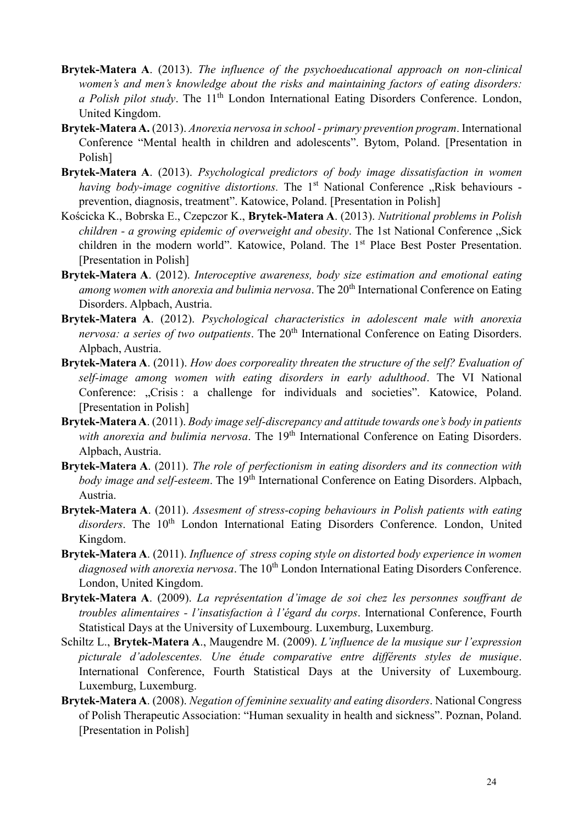- **Brytek-Matera A**. (2013). *The influence of the psychoeducational approach on non-clinical women's and men's knowledge about the risks and maintaining factors of eating disorders: a Polish pilot study*. The 11<sup>th</sup> London International Eating Disorders Conference. London, United Kingdom.
- **Brytek-Matera A.** (2013). *Anorexia nervosa in school - primary prevention program*. International Conference "Mental health in children and adolescents". Bytom, Poland. [Presentation in Polish]
- **Brytek-Matera A**. (2013). *Psychological predictors of body image dissatisfaction in women having body-image cognitive distortions*. The 1<sup>st</sup> National Conference "Risk behaviours prevention, diagnosis, treatment". Katowice, Poland. [Presentation in Polish]
- Kościcka K., Bobrska E., Czepczor K., **Brytek-Matera A**. (2013). *Nutritional problems in Polish children - a growing epidemic of overweight and obesity*. The 1st National Conference "Sick children in the modern world". Katowice, Poland. The 1<sup>st</sup> Place Best Poster Presentation. [Presentation in Polish]
- **Brytek-Matera A**. (2012). *Interoceptive awareness, body size estimation and emotional eating among women with anorexia and bulimia nervosa*. The 20<sup>th</sup> International Conference on Eating Disorders. Alpbach, Austria.
- **Brytek-Matera A**. (2012). *Psychological characteristics in adolescent male with anorexia nervosa: a series of two outpatients*. The 20<sup>th</sup> International Conference on Eating Disorders. Alpbach, Austria.
- **Brytek-Matera A**. (2011). *How does corporeality threaten the structure of the self? Evaluation of self-image among women with eating disorders in early adulthood*. The VI National Conference: "Crisis: a challenge for individuals and societies". Katowice, Poland. [Presentation in Polish]
- **Brytek-Matera A**. (2011). *Body image self-discrepancy and attitude towards one's body in patients*  with anorexia and bulimia nervosa. The 19<sup>th</sup> International Conference on Eating Disorders. Alpbach, Austria.
- **Brytek-Matera A**. (2011). *The role of perfectionism in eating disorders and its connection with body image and self-esteem*. The 19<sup>th</sup> International Conference on Eating Disorders. Alpbach, Austria.
- **Brytek-Matera A**. (2011). *Assesment of stress-coping behaviours in Polish patients with eating*  disorders. The 10<sup>th</sup> London International Eating Disorders Conference. London, United Kingdom.
- **Brytek-Matera A**. (2011). *Influence of stress coping style on distorted body experience in women*  diagnosed with anorexia nervosa. The 10<sup>th</sup> London International Eating Disorders Conference. London, United Kingdom.
- **Brytek-Matera A**. (2009). *La représentation d'image de soi chez les personnes souffrant de troubles alimentaires - l'insatisfaction à l'égard du corps*. International Conference, Fourth Statistical Days at the University of Luxembourg. Luxemburg, Luxemburg.
- Schiltz L., **Brytek-Matera A**., Maugendre M. (2009). *L'influence de la musique sur l'expression picturale d'adolescentes. Une étude comparative entre différents styles de musique*. International Conference, Fourth Statistical Days at the University of Luxembourg. Luxemburg, Luxemburg.
- **Brytek-Matera A**. (2008). *Negation of feminine sexuality and eating disorders*. National Congress of Polish Therapeutic Association: "Human sexuality in health and sickness". Poznan, Poland. [Presentation in Polish]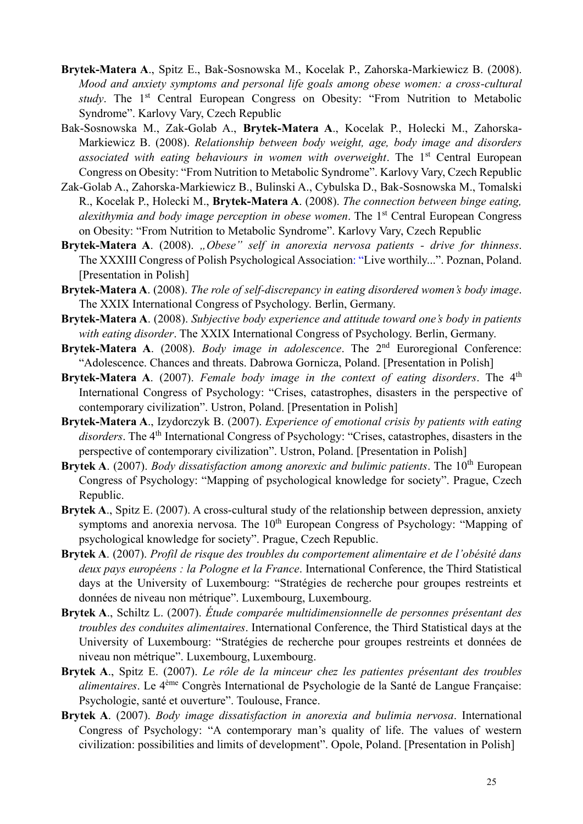- **Brytek-Matera A**., Spitz E., Bak-Sosnowska M., Kocelak P., Zahorska-Markiewicz B. (2008). *Mood and anxiety symptoms and personal life goals among obese women: a cross-cultural study*. The 1<sup>st</sup> Central European Congress on Obesity: "From Nutrition to Metabolic Syndrome". Karlovy Vary, Czech Republic
- Bak-Sosnowska M., Zak-Golab A., **Brytek-Matera A**., Kocelak P., Holecki M., Zahorska-Markiewicz B. (2008). *Relationship between body weight, age, body image and disorders*  associated with eating behaviours in women with overweight. The 1<sup>st</sup> Central European Congress on Obesity: "From Nutrition to Metabolic Syndrome". Karlovy Vary, Czech Republic
- Zak-Golab A., Zahorska-Markiewicz B., Bulinski A., Cybulska D., Bak-Sosnowska M., Tomalski R., Kocelak P., Holecki M., **Brytek-Matera A**. (2008). *The connection between binge eating, alexithymia and body image perception in obese women*. The 1st Central European Congress on Obesity: "From Nutrition to Metabolic Syndrome". Karlovy Vary, Czech Republic
- **Brytek-Matera A**. (2008). *"Obese" self in anorexia nervosa patients - drive for thinness*. The XXXIII Congress of Polish Psychological Association: "Live worthily...". Poznan, Poland. [Presentation in Polish]
- **Brytek-Matera A**. (2008). *The role of self-discrepancy in eating disordered women's body image*. The XXIX International Congress of Psychology. Berlin, Germany.
- **Brytek-Matera A**. (2008). *Subjective body experience and attitude toward one's body in patients with eating disorder*. The XXIX International Congress of Psychology. Berlin, Germany.
- Brytek-Matera A. (2008). *Body image in adolescence*. The 2<sup>nd</sup> Euroregional Conference: "Adolescence. Chances and threats. Dabrowa Gornicza, Poland. [Presentation in Polish]
- **Brytek-Matera A**. (2007). *Female body image in the context of eating disorders*. The 4<sup>th</sup> International Congress of Psychology: "Crises, catastrophes, disasters in the perspective of contemporary civilization". Ustron, Poland. [Presentation in Polish]
- **Brytek-Matera A**., Izydorczyk B. (2007). *Experience of emotional crisis by patients with eating*  disorders. The 4<sup>th</sup> International Congress of Psychology: "Crises, catastrophes, disasters in the perspective of contemporary civilization". Ustron, Poland. [Presentation in Polish]
- **Brytek A**. (2007). *Body dissatisfaction among anorexic and bulimic patients*. The 10<sup>th</sup> European Congress of Psychology: "Mapping of psychological knowledge for society". Prague, Czech Republic.
- **Brytek A**., Spitz E. (2007). A cross-cultural study of the relationship between depression, anxiety symptoms and anorexia nervosa. The 10<sup>th</sup> European Congress of Psychology: "Mapping of psychological knowledge for society". Prague, Czech Republic.
- **Brytek A**. (2007). *Profil de risque des troubles du comportement alimentaire et de l'obésité dans deux pays européens : la Pologne et la France*. International Conference, the Third Statistical days at the University of Luxembourg: "Stratégies de recherche pour groupes restreints et données de niveau non métrique". Luxembourg, Luxembourg.
- **Brytek A**., Schiltz L. (2007). *Étude comparée multidimensionnelle de personnes présentant des troubles des conduites alimentaires*. International Conference, the Third Statistical days at the University of Luxembourg: "Stratégies de recherche pour groupes restreints et données de niveau non métrique". Luxembourg, Luxembourg.
- **Brytek A**., Spitz E. (2007). *Le rôle de la minceur chez les patientes présentant des troubles alimentaires*. Le 4 ème Congrès International de Psychologie de la Santé de Langue Française: Psychologie, santé et ouverture". Toulouse, France.
- **Brytek A**. (2007). *Body image dissatisfaction in anorexia and bulimia nervosa*. International Congress of Psychology: "A contemporary man's quality of life. The values of western civilization: possibilities and limits of development". Opole, Poland. [Presentation in Polish]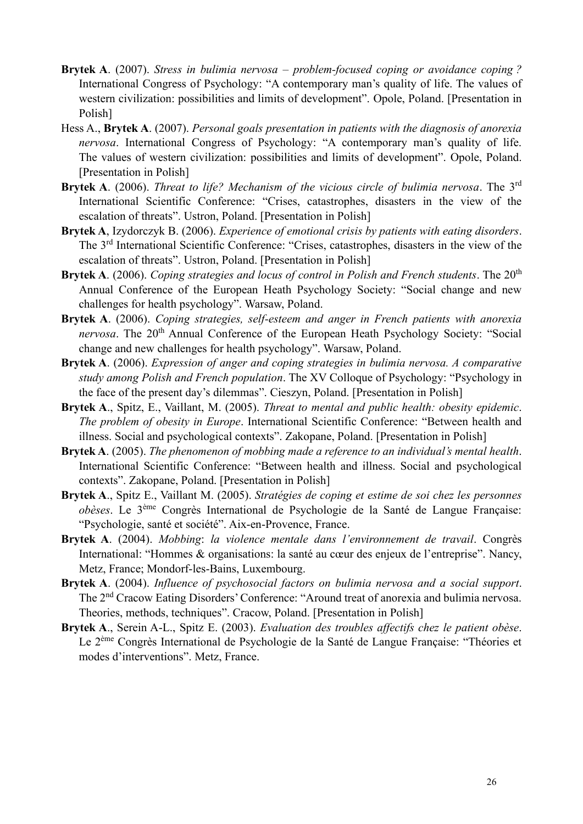- **Brytek A**. (2007). *Stress in bulimia nervosa – problem-focused coping or avoidance coping ?* International Congress of Psychology: "A contemporary man's quality of life. The values of western civilization: possibilities and limits of development". Opole, Poland. [Presentation in Polish]
- Hess A., **Brytek A**. (2007). *Personal goals presentation in patients with the diagnosis of anorexia nervosa*. International Congress of Psychology: "A contemporary man's quality of life. The values of western civilization: possibilities and limits of development". Opole, Poland. [Presentation in Polish]
- **Brytek A**. (2006). *Threat to life? Mechanism of the vicious circle of bulimia nervosa*. The 3rd International Scientific Conference: "Crises, catastrophes, disasters in the view of the escalation of threats". Ustron, Poland. [Presentation in Polish]
- **Brytek A**, Izydorczyk B. (2006). *Experience of emotional crisis by patients with eating disorders*. The 3rd International Scientific Conference: "Crises, catastrophes, disasters in the view of the escalation of threats". Ustron, Poland. [Presentation in Polish]
- **Brytek A.** (2006). *Coping strategies and locus of control in Polish and French students*. The 20<sup>th</sup> Annual Conference of the European Heath Psychology Society: "Social change and new challenges for health psychology". Warsaw, Poland.
- **Brytek A**. (2006). *Coping strategies, self-esteem and anger in French patients with anorexia nervosa*. The 20<sup>th</sup> Annual Conference of the European Heath Psychology Society: "Social change and new challenges for health psychology". Warsaw, Poland.
- **Brytek A**. (2006). *Expression of anger and coping strategies in bulimia nervosa. A comparative study among Polish and French population*. The XV Colloque of Psychology: "Psychology in the face of the present day's dilemmas". Cieszyn, Poland. [Presentation in Polish]
- **Brytek A**., Spitz, E., Vaillant, M. (2005). *Threat to mental and public health: obesity epidemic*. *The problem of obesity in Europe*. International Scientific Conference: "Between health and illness. Social and psychological contexts". Zakopane, Poland. [Presentation in Polish]
- **Brytek A**. (2005). *The phenomenon of mobbing made a reference to an individual's mental health*. International Scientific Conference: "Between health and illness. Social and psychological contexts". Zakopane, Poland. [Presentation in Polish]
- **Brytek A**., Spitz E., Vaillant M. (2005). *Stratégies de coping et estime de soi chez les personnes obèses*. Le 3 ème Congrès International de Psychologie de la Santé de Langue Française: "Psychologie, santé et société". Aix-en-Provence, France.
- **Brytek A**. (2004). *Mobbing*: *la violence mentale dans l'environnement de travail*. Congrès International: "Hommes & organisations: la santé au cœur des enjeux de l'entreprise". Nancy, Metz, France; Mondorf-les-Bains, Luxembourg.
- **Brytek A**. (2004). *Influence of psychosocial factors on bulimia nervosa and a social support*. The 2nd Cracow Eating Disorders' Conference: "Around treat of anorexia and bulimia nervosa. Theories, methods, techniques". Cracow, Poland. [Presentation in Polish]
- **Brytek A**., Serein A-L., Spitz E. (2003). *Evaluation des troubles affectifs chez le patient obèse*. Le 2<sup>ème</sup> Congrès International de Psychologie de la Santé de Langue Française: "Théories et modes d'interventions". Metz, France.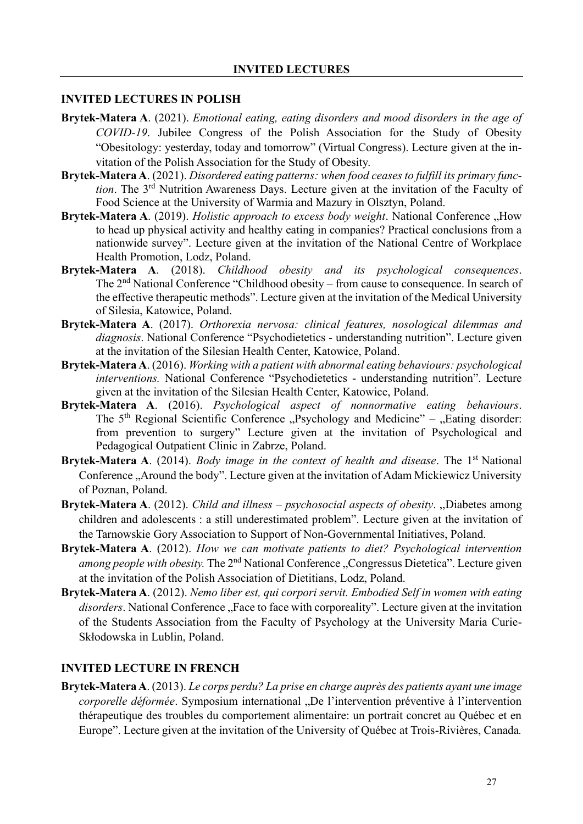#### **INVITED LECTURES IN POLISH**

- **Brytek-Matera A**. (2021). *Emotional eating, eating disorders and mood disorders in the age of COVID-19*. Jubilee Congress of the Polish Association for the Study of Obesity "Obesitology: yesterday, today and tomorrow" (Virtual Congress). Lecture given at the invitation of the Polish Association for the Study of Obesity.
- **Brytek-Matera A**. (2021). *Disordered eating patterns: when food ceases to fulfill its primary function*. The 3rd Nutrition Awareness Days. Lecture given at the invitation of the Faculty of Food Science at the University of Warmia and Mazury in Olsztyn, Poland.
- **Brytek-Matera A**. (2019). *Holistic approach to excess body weight*. National Conference "How to head up physical activity and healthy eating in companies? Practical conclusions from a nationwide survey". Lecture given at the invitation of the National Centre of Workplace Health Promotion, Lodz, Poland.
- **Brytek-Matera A**. (2018). *Childhood obesity and its psychological consequences*. The 2<sup>nd</sup> National Conference "Childhood obesity – from cause to consequence. In search of the effective therapeutic methods". Lecture given at the invitation of the Medical University of Silesia, Katowice, Poland.
- **Brytek-Matera A**. (2017). *Orthorexia nervosa: clinical features, nosological dilemmas and diagnosis*. National Conference "Psychodietetics - understanding nutrition". Lecture given at the invitation of the Silesian Health Center, Katowice, Poland.
- **Brytek-Matera A**. (2016). *Working with a patient with abnormal eating behaviours: psychological interventions.* National Conference "Psychodietetics - understanding nutrition". Lecture given at the invitation of the Silesian Health Center, Katowice, Poland.
- **Brytek-Matera A**. (2016). *Psychological aspect of nonnormative eating behaviours*. The  $5<sup>th</sup>$  Regional Scientific Conference "Psychology and Medicine" – "Eating disorder: from prevention to surgery" Lecture given at the invitation of Psychological and Pedagogical Outpatient Clinic in Zabrze, Poland.
- **Brytek-Matera A**. (2014). *Body image in the context of health and disease*. The 1<sup>st</sup> National Conference "Around the body". Lecture given at the invitation of Adam Mickiewicz University of Poznan, Poland.
- **Brytek-Matera A**. (2012). *Child and illness – psychosocial aspects of obesity*. ,,Diabetes among children and adolescents : a still underestimated problem". Lecture given at the invitation of the Tarnowskie Gory Association to Support of Non-Governmental Initiatives, Poland.
- **Brytek-Matera A**. (2012). *How we can motivate patients to diet? Psychological intervention among people with obesity.* The 2<sup>nd</sup> National Conference "Congressus Dietetica". Lecture given at the invitation of the Polish Association of Dietitians, Lodz, Poland.
- **Brytek-Matera A**. (2012). *Nemo liber est, qui corpori servit. Embodied Self in women with eating disorders*. National Conference "Face to face with corporeality". Lecture given at the invitation of the Students Association from the Faculty of Psychology at the University Maria Curie-Skłodowska in Lublin, Poland.

#### **INVITED LECTURE IN FRENCH**

**Brytek-Matera A**. (2013). *Le corps perdu? La prise en charge auprès des patients ayant une image corporelle déformée*. Symposium international "De l'intervention préventive à l'intervention thérapeutique des troubles du comportement alimentaire: un portrait concret au Québec et en Europe". Lecture given at the invitation of the University of Québec at Trois-Rivières, Canada*.*